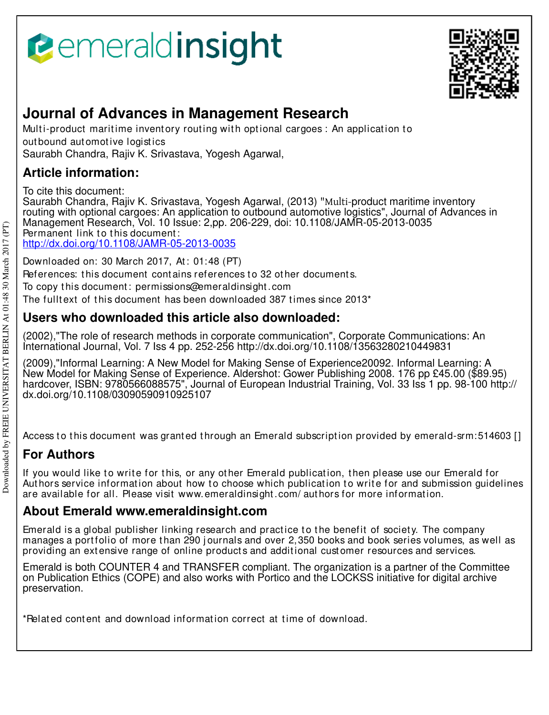# **B**emeraldinsight



## **Journal of Advances in Management Research**

Multi-product maritime inventory routing with optional cargoes: An application to out bound aut omot ive logist ics Saurabh Chandra, Rajiv K. Srivastava, Yogesh Agarwal,

## **Article information:**

To cite this document:

Saurabh Chandra, Rajiv K. Srivastava, Yogesh Agarwal, (2013) "Multi‐product maritime inventory routing with optional cargoes: An application to outbound automotive logistics", Journal of Advances in Management Research, Vol. 10 Issue: 2,pp. 206-229, doi: 10.1108/JAMR-05-2013-0035 Permanent link to this document: http://dx.doi.org/10.1108/JAMR-05-2013-0035

Downloaded on: 30 March 2017, At : 01:48 (PT)

References: this document contains references to 32 other documents.

To copy t his document : permissions@emeraldinsight .com

The fulltext of this document has been downloaded 387 times since  $2013<sup>*</sup>$ 

## **Users who downloaded this article also downloaded:**

(2002),"The role of research methods in corporate communication", Corporate Communications: An International Journal, Vol. 7 Iss 4 pp. 252-256 http://dx.doi.org/10.1108/13563280210449831

(2009),"Informal Learning: A New Model for Making Sense of Experience20092. Informal Learning: A New Model for Making Sense of Experience. Aldershot: Gower Publishing 2008. 176 pp £45.00 (\$89.95) hardcover, ISBN: 9780566088575", Journal of European Industrial Training, Vol. 33 Iss 1 pp. 98-100 http:// dx.doi.org/10.1108/03090590910925107

Access to this document was granted through an Emerald subscription provided by emerald-srm:514603 []

## **For Authors**

If you would like to write for this, or any other Emerald publication, then please use our Emerald for Authors service information about how to choose which publication to write for and submission quidelines are available for all. Please visit www.emeraldinsight .com/ aut hors for more informat ion.

## **About Emerald www.emeraldinsight.com**

Emerald is a global publisher linking research and practice to the benefit of society. The company manages a port folio of more t han 290 j ournals and over 2,350 books and book series volumes, as well as providing an ext ensive range of online product s and addit ional cust omer resources and services.

Emerald is both COUNTER 4 and TRANSFER compliant. The organization is a partner of the Committee on Publication Ethics (COPE) and also works with Portico and the LOCKSS initiative for digital archive preservation.

\*Relat ed cont ent and download informat ion correct at t ime of download.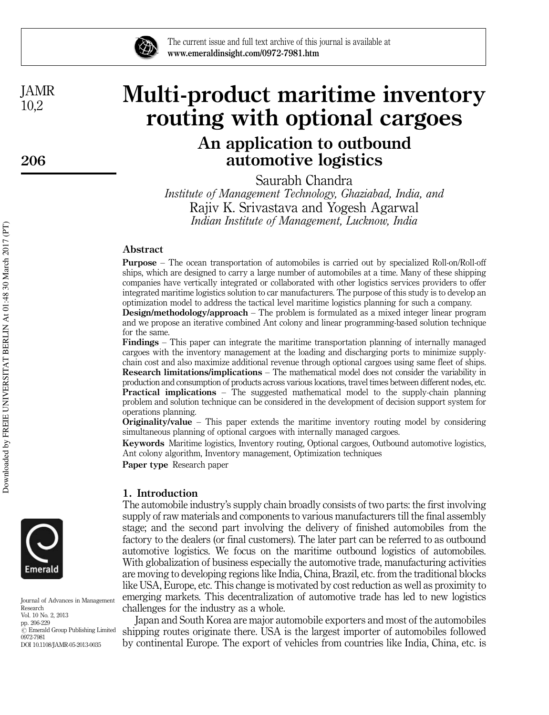

The current issue and full text archive of this journal is available at www.emeraldinsight.com/0972-7981.htm

JAMR 10,2



Journal of Advances in Management Research Vol. 10 No. 2, 2013 pp. 206-229  $\odot$  Emerald Group Publishing Limited 0972-7981 DOI 10.1108/JAMR-05-2013-0035

## Multi-product maritime inventory routing with optional cargoes An application to outbound automotive logistics

Saurabh Chandra

*Institute of Management Technology, Ghaziabad, India, and* Rajiv K. Srivastava and Yogesh Agarwal *Indian Institute of Management, Lucknow, India*

#### Abstract

Purpose – The ocean transportation of automobiles is carried out by specialized Roll-on/Roll-off ships, which are designed to carry a large number of automobiles at a time. Many of these shipping companies have vertically integrated or collaborated with other logistics services providers to offer integrated maritime logistics solution to car manufacturers. The purpose of this study is to develop an optimization model to address the tactical level maritime logistics planning for such a company.

Design/methodology/approach – The problem is formulated as a mixed integer linear program and we propose an iterative combined Ant colony and linear programming-based solution technique for the same.

Findings – This paper can integrate the maritime transportation planning of internally managed cargoes with the inventory management at the loading and discharging ports to minimize supplychain cost and also maximize additional revenue through optional cargoes using same fleet of ships. Research limitations/implications – The mathematical model does not consider the variability in production and consumption of products across various locations, travel times between different nodes, etc. **Practical implications** – The suggested mathematical model to the supply-chain planning problem and solution technique can be considered in the development of decision support system for operations planning.

Originality/value – This paper extends the maritime inventory routing model by considering simultaneous planning of optional cargoes with internally managed cargoes.

Keywords Maritime logistics, Inventory routing, Optional cargoes, Outbound automotive logistics, Ant colony algorithm, Inventory management, Optimization techniques

Paper type Research paper

#### 1. Introduction

The automobile industry's supply chain broadly consists of two parts: the first involving supply of raw materials and components to various manufacturers till the final assembly stage; and the second part involving the delivery of finished automobiles from the factory to the dealers (or final customers). The later part can be referred to as outbound automotive logistics. We focus on the maritime outbound logistics of automobiles. With globalization of business especially the automotive trade, manufacturing activities are moving to developing regions like India, China, Brazil, etc. from the traditional blocks like USA, Europe, etc. This change is motivated by cost reduction as well as proximity to emerging markets. This decentralization of automotive trade has led to new logistics challenges for the industry as a whole.

Japan and South Korea are major automobile exporters and most of the automobiles shipping routes originate there. USA is the largest importer of automobiles followed by continental Europe. The export of vehicles from countries like India, China, etc. is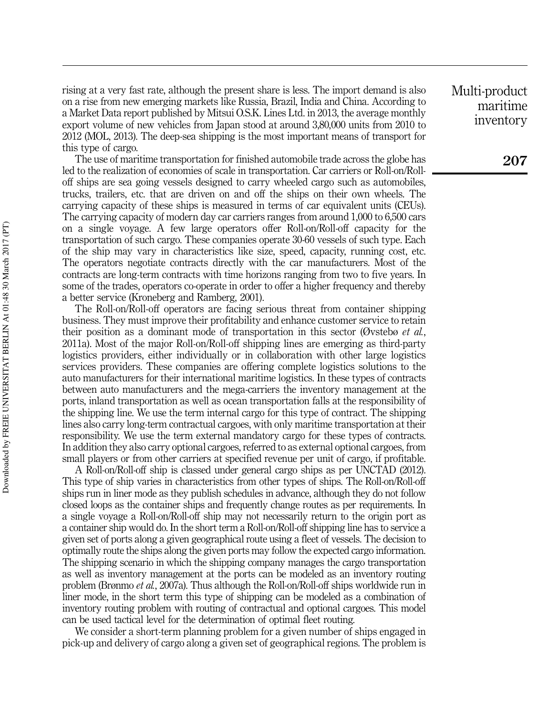rising at a very fast rate, although the present share is less. The import demand is also on a rise from new emerging markets like Russia, Brazil, India and China. According to a Market Data report published by Mitsui O.S.K. Lines Ltd. in 2013, the average monthly export volume of new vehicles from Japan stood at around 3,80,000 units from 2010 to 2012 (MOL, 2013). The deep-sea shipping is the most important means of transport for this type of cargo.

The use of maritime transportation for finished automobile trade across the globe has led to the realization of economies of scale in transportation. Car carriers or Roll-on/Rolloff ships are sea going vessels designed to carry wheeled cargo such as automobiles, trucks, trailers, etc. that are driven on and off the ships on their own wheels. The carrying capacity of these ships is measured in terms of car equivalent units (CEUs). The carrying capacity of modern day car carriers ranges from around 1,000 to 6,500 cars on a single voyage. A few large operators offer Roll-on/Roll-off capacity for the transportation of such cargo. These companies operate 30-60 vessels of such type. Each of the ship may vary in characteristics like size, speed, capacity, running cost, etc. The operators negotiate contracts directly with the car manufacturers. Most of the contracts are long-term contracts with time horizons ranging from two to five years. In some of the trades, operators co-operate in order to offer a higher frequency and thereby a better service (Kroneberg and Ramberg, 2001).

The Roll-on/Roll-off operators are facing serious threat from container shipping business. They must improve their profitability and enhance customer service to retain their position as a dominant mode of transportation in this sector (Øvstebø *et al.*, 2011a). Most of the major Roll-on/Roll-off shipping lines are emerging as third-party logistics providers, either individually or in collaboration with other large logistics services providers. These companies are offering complete logistics solutions to the auto manufacturers for their international maritime logistics. In these types of contracts between auto manufacturers and the mega-carriers the inventory management at the ports, inland transportation as well as ocean transportation falls at the responsibility of the shipping line. We use the term internal cargo for this type of contract. The shipping lines also carry long-term contractual cargoes, with only maritime transportation at their responsibility. We use the term external mandatory cargo for these types of contracts. In addition they also carry optional cargoes, referred to as external optional cargoes, from small players or from other carriers at specified revenue per unit of cargo, if profitable.

A Roll-on/Roll-off ship is classed under general cargo ships as per UNCTAD (2012). This type of ship varies in characteristics from other types of ships. The Roll-on/Roll-off ships run in liner mode as they publish schedules in advance, although they do not follow closed loops as the container ships and frequently change routes as per requirements. In a single voyage a Roll-on/Roll-off ship may not necessarily return to the origin port as a container ship would do. In the short term a Roll-on/Roll-off shipping line has to service a given set of ports along a given geographical route using a fleet of vessels. The decision to optimally route the ships along the given ports may follow the expected cargo information. The shipping scenario in which the shipping company manages the cargo transportation as well as inventory management at the ports can be modeled as an inventory routing problem (Brønmo *et al.*, 2007a). Thus although the Roll-on/Roll-off ships worldwide run in liner mode, in the short term this type of shipping can be modeled as a combination of inventory routing problem with routing of contractual and optional cargoes. This model can be used tactical level for the determination of optimal fleet routing.

We consider a short-term planning problem for a given number of ships engaged in pick-up and delivery of cargo along a given set of geographical regions. The problem is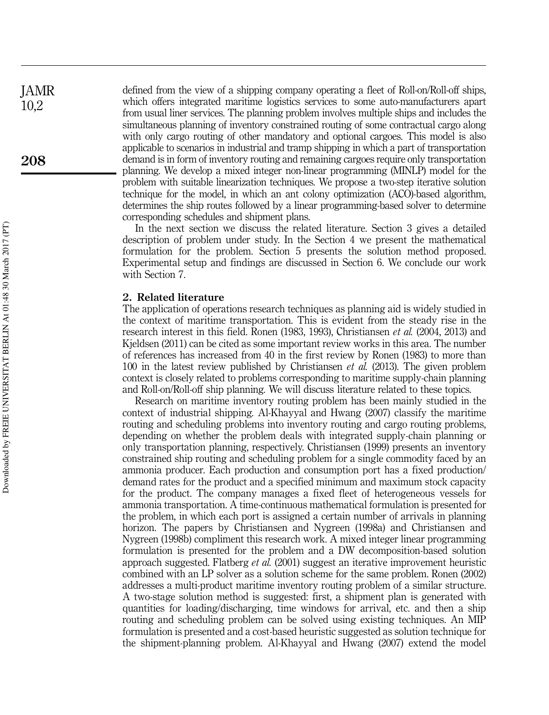defined from the view of a shipping company operating a fleet of Roll-on/Roll-off ships, which offers integrated maritime logistics services to some auto-manufacturers apart from usual liner services. The planning problem involves multiple ships and includes the simultaneous planning of inventory constrained routing of some contractual cargo along with only cargo routing of other mandatory and optional cargoes. This model is also applicable to scenarios in industrial and tramp shipping in which a part of transportation demand is in form of inventory routing and remaining cargoes require only transportation planning. We develop a mixed integer non-linear programming (MINLP) model for the problem with suitable linearization techniques. We propose a two-step iterative solution technique for the model, in which an ant colony optimization (ACO)-based algorithm, determines the ship routes followed by a linear programming-based solver to determine corresponding schedules and shipment plans.

In the next section we discuss the related literature. Section 3 gives a detailed description of problem under study. In the Section 4 we present the mathematical formulation for the problem. Section 5 presents the solution method proposed. Experimental setup and findings are discussed in Section 6. We conclude our work with Section 7.

#### 2. Related literature

The application of operations research techniques as planning aid is widely studied in the context of maritime transportation. This is evident from the steady rise in the research interest in this field. Ronen (1983, 1993), Christiansen *et al.* (2004, 2013) and Kjeldsen (2011) can be cited as some important review works in this area. The number of references has increased from 40 in the first review by Ronen (1983) to more than 100 in the latest review published by Christiansen *et al.* (2013). The given problem context is closely related to problems corresponding to maritime supply-chain planning and Roll-on/Roll-off ship planning. We will discuss literature related to these topics.

Research on maritime inventory routing problem has been mainly studied in the context of industrial shipping. Al-Khayyal and Hwang (2007) classify the maritime routing and scheduling problems into inventory routing and cargo routing problems, depending on whether the problem deals with integrated supply-chain planning or only transportation planning, respectively. Christiansen (1999) presents an inventory constrained ship routing and scheduling problem for a single commodity faced by an ammonia producer. Each production and consumption port has a fixed production/ demand rates for the product and a specified minimum and maximum stock capacity for the product. The company manages a fixed fleet of heterogeneous vessels for ammonia transportation. A time-continuous mathematical formulation is presented for the problem, in which each port is assigned a certain number of arrivals in planning horizon. The papers by Christiansen and Nygreen (1998a) and Christiansen and Nygreen (1998b) compliment this research work. A mixed integer linear programming formulation is presented for the problem and a DW decomposition-based solution approach suggested. Flatberg *et al.* (2001) suggest an iterative improvement heuristic combined with an LP solver as a solution scheme for the same problem. Ronen (2002) addresses a multi-product maritime inventory routing problem of a similar structure. A two-stage solution method is suggested: first, a shipment plan is generated with quantities for loading/discharging, time windows for arrival, etc. and then a ship routing and scheduling problem can be solved using existing techniques. An MIP formulation is presented and a cost-based heuristic suggested as solution technique for the shipment-planning problem. Al-Khayyal and Hwang (2007) extend the model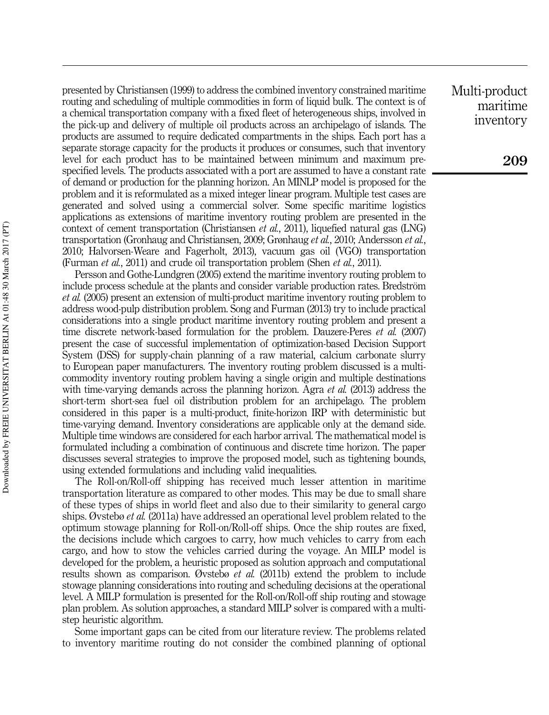presented by Christiansen (1999) to address the combined inventory constrained maritime routing and scheduling of multiple commodities in form of liquid bulk. The context is of a chemical transportation company with a fixed fleet of heterogeneous ships, involved in the pick-up and delivery of multiple oil products across an archipelago of islands. The products are assumed to require dedicated compartments in the ships. Each port has a separate storage capacity for the products it produces or consumes, such that inventory level for each product has to be maintained between minimum and maximum prespecified levels. The products associated with a port are assumed to have a constant rate of demand or production for the planning horizon. An MINLP model is proposed for the problem and it is reformulated as a mixed integer linear program. Multiple test cases are generated and solved using a commercial solver. Some specific maritime logistics applications as extensions of maritime inventory routing problem are presented in the context of cement transportation (Christiansen *et al.*, 2011), liquefied natural gas (LNG) transportation (Gronhaug and Christiansen, 2009; Grønhaug *et al.*, 2010; Andersson *et al.*, 2010; Halvorsen-Weare and Fagerholt, 2013), vacuum gas oil (VGO) transportation (Furman *et al.*, 2011) and crude oil transportation problem (Shen *et al.*, 2011).

Persson and Gothe-Lundgren (2005) extend the maritime inventory routing problem to include process schedule at the plants and consider variable production rates. Bredström *et al.* (2005) present an extension of multi-product maritime inventory routing problem to address wood-pulp distribution problem. Song and Furman (2013) try to include practical considerations into a single product maritime inventory routing problem and present a time discrete network-based formulation for the problem. Dauzere-Peres *et al.* (2007) present the case of successful implementation of optimization-based Decision Support System (DSS) for supply-chain planning of a raw material, calcium carbonate slurry to European paper manufacturers. The inventory routing problem discussed is a multicommodity inventory routing problem having a single origin and multiple destinations with time-varying demands across the planning horizon. Agra *et al.* (2013) address the short-term short-sea fuel oil distribution problem for an archipelago. The problem considered in this paper is a multi-product, finite-horizon IRP with deterministic but time-varying demand. Inventory considerations are applicable only at the demand side. Multiple time windows are considered for each harbor arrival. The mathematical model is formulated including a combination of continuous and discrete time horizon. The paper discusses several strategies to improve the proposed model, such as tightening bounds, using extended formulations and including valid inequalities.

The Roll-on/Roll-off shipping has received much lesser attention in maritime transportation literature as compared to other modes. This may be due to small share of these types of ships in world fleet and also due to their similarity to general cargo ships. Øvstebø *et al.* (2011a) have addressed an operational level problem related to the optimum stowage planning for Roll-on/Roll-off ships. Once the ship routes are fixed, the decisions include which cargoes to carry, how much vehicles to carry from each cargo, and how to stow the vehicles carried during the voyage. An MILP model is developed for the problem, a heuristic proposed as solution approach and computational results shown as comparison. Øvstebø *et al.* (2011b) extend the problem to include stowage planning considerations into routing and scheduling decisions at the operational level. A MILP formulation is presented for the Roll-on/Roll-off ship routing and stowage plan problem. As solution approaches, a standard MILP solver is compared with a multistep heuristic algorithm.

Some important gaps can be cited from our literature review. The problems related to inventory maritime routing do not consider the combined planning of optional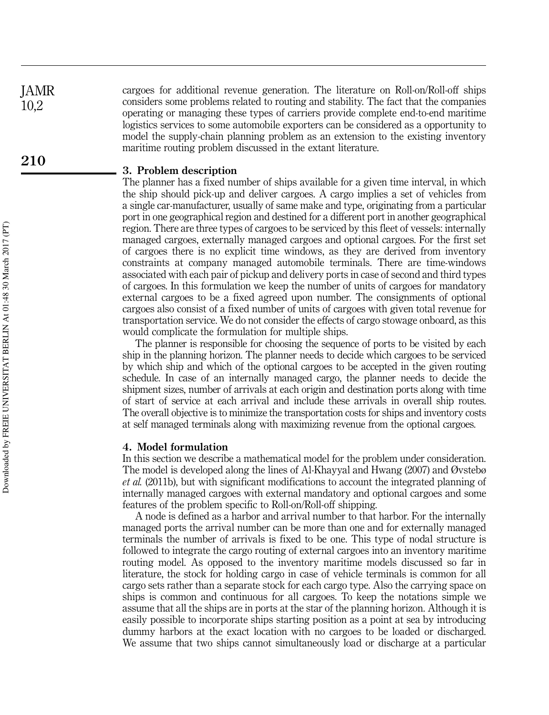cargoes for additional revenue generation. The literature on Roll-on/Roll-off ships considers some problems related to routing and stability. The fact that the companies operating or managing these types of carriers provide complete end-to-end maritime logistics services to some automobile exporters can be considered as a opportunity to model the supply-chain planning problem as an extension to the existing inventory maritime routing problem discussed in the extant literature.

#### 3. Problem description

The planner has a fixed number of ships available for a given time interval, in which the ship should pick-up and deliver cargoes. A cargo implies a set of vehicles from a single car-manufacturer, usually of same make and type, originating from a particular port in one geographical region and destined for a different port in another geographical region. There are three types of cargoes to be serviced by this fleet of vessels: internally managed cargoes, externally managed cargoes and optional cargoes. For the first set of cargoes there is no explicit time windows, as they are derived from inventory constraints at company managed automobile terminals. There are time-windows associated with each pair of pickup and delivery ports in case of second and third types of cargoes. In this formulation we keep the number of units of cargoes for mandatory external cargoes to be a fixed agreed upon number. The consignments of optional cargoes also consist of a fixed number of units of cargoes with given total revenue for transportation service. We do not consider the effects of cargo stowage onboard, as this would complicate the formulation for multiple ships.

The planner is responsible for choosing the sequence of ports to be visited by each ship in the planning horizon. The planner needs to decide which cargoes to be serviced by which ship and which of the optional cargoes to be accepted in the given routing schedule. In case of an internally managed cargo, the planner needs to decide the shipment sizes, number of arrivals at each origin and destination ports along with time of start of service at each arrival and include these arrivals in overall ship routes. The overall objective is to minimize the transportation costs for ships and inventory costs at self managed terminals along with maximizing revenue from the optional cargoes.

#### 4. Model formulation

In this section we describe a mathematical model for the problem under consideration. The model is developed along the lines of Al-Khayyal and Hwang (2007) and Øvstebø *et al.* (2011b), but with significant modifications to account the integrated planning of internally managed cargoes with external mandatory and optional cargoes and some features of the problem specific to Roll-on/Roll-off shipping.

A node is defined as a harbor and arrival number to that harbor. For the internally managed ports the arrival number can be more than one and for externally managed terminals the number of arrivals is fixed to be one. This type of nodal structure is followed to integrate the cargo routing of external cargoes into an inventory maritime routing model. As opposed to the inventory maritime models discussed so far in literature, the stock for holding cargo in case of vehicle terminals is common for all cargo sets rather than a separate stock for each cargo type. Also the carrying space on ships is common and continuous for all cargoes. To keep the notations simple we assume that all the ships are in ports at the star of the planning horizon. Although it is easily possible to incorporate ships starting position as a point at sea by introducing dummy harbors at the exact location with no cargoes to be loaded or discharged. We assume that two ships cannot simultaneously load or discharge at a particular

JAMR

210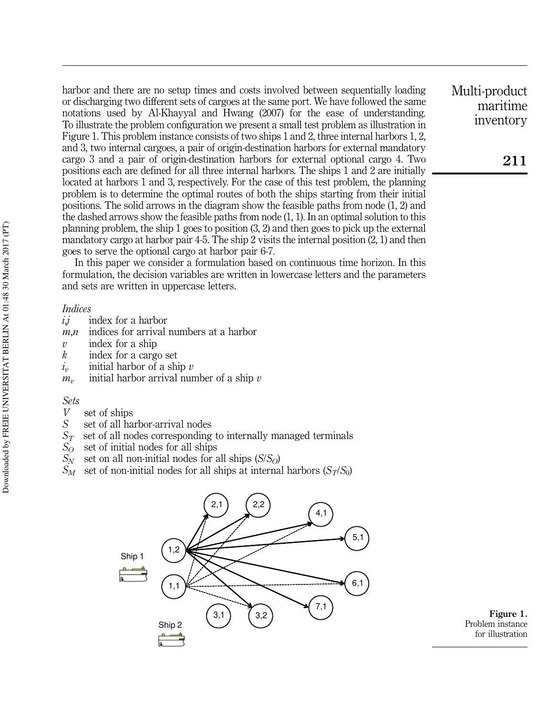harbor and there are no setup times and costs involved between sequentially loading or discharging two different sets of cargoes at the same port. We have followed the same notations used by Al-Khayyal and Hwang (2007) for the ease of understanding. To illustrate the problem configuration we present a small test problem as illustration in Figure 1. This problem instance consists of two ships 1 and 2, three internal harbors 1, 2, and 3, two internal cargoes, a pair of origin-destination harbors for external mandatory cargo 3 and a pair of origin-destination harbors for external optional cargo 4. Two positions each are defined for all three internal harbors. The ships 1 and 2 are initially located at harbors 1 and 3, respectively. For the case of this test problem, the planning problem is to determine the optimal routes of both the ships starting from their initial positions. The solid arrows in the diagram show the feasible paths from node (1, 2) and the dashed arrows show the feasible paths from node (1, 1). In an optimal solution to this planning problem, the ship 1 goes to position (3, 2) and then goes to pick up the external mandatory cargo at harbor pair 4-5. The ship 2 visits the internal position (2, 1) and then goes to serve the optional cargo at harbor pair 6-7.

In this paper we consider a formulation based on continuous time horizon. In this formulation, the decision variables are written in lowercase letters and the parameters and sets are written in uppercase letters.

#### *Indices*

- *i*,*j* index for a harbor
- *m*,*n* indices for arrival numbers at a harbor
- *v* index for a ship
- *k* index for a cargo set
- $i_v$ initial harbor of a ship *v*
- $m<sub>v</sub>$ initial harbor arrival number of a ship *v*

#### *Sets*

- *V* set of ships<br>*S* set of all ha
- *S* set of all harbor-arrival nodes  $S_T$  set of all nodes corresponding
- $S_T$  set of all nodes corresponding to internally managed terminals  $S_O$  set of initial nodes for all ships
- $S_O$  set of initial nodes for all ships  $S_N$  set on all non-initial nodes for a
- $S_N$  set on all non-initial nodes for all ships (*S/S<sub>O</sub>*)  $S_M$  set of non-initial nodes for all ships at interna
- $S_M$  set of non-initial nodes for all ships at internal harbors  $(S_T/S_0)$



Figure 1. Problem instance for illustration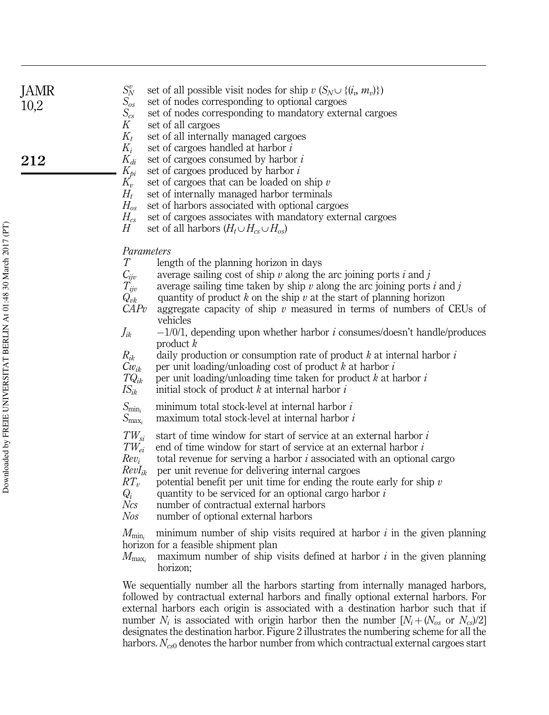| IAMR | $S_N^v$      | set of all possible visit nodes for ship $v(S_N \cup \{(i_n, m_v)\})$ |
|------|--------------|-----------------------------------------------------------------------|
| 10,2 | $S_{\alpha}$ | set of nodes corresponding to optional cargoes                        |
|      | $S_{ce}$     | set of nodes corresponding to mandatory external cargoes              |
|      | Κ            | set of all cargoes                                                    |
|      | K,           | set of all internally managed cargoes                                 |
|      | $K_i$        | set of cargoes handled at harbor i                                    |
| 212  | $K_{di}$     | set of cargoes consumed by harbor $i$                                 |
|      |              | $K$ of original produced by harbor i                                  |

- $K_{pi}$  set of cargoes produced by harbor *i*  $K_n$  set of cargoes that can be loaded on
- $K_v$  set of cargoes that can be loaded on ship *v*<br>*H*<sub>t</sub> set of internally managed harbor terminals
- $H_t$  set of internally managed harbor terminals  $H_{0s}$  set of harbors associated with optional carge  $H_{os}$  set of harbors associated with optional cargoes  $H_{cs}$  set of cargoes associates with mandatory exter
- $H_{cs}$  set of cargoes associates with mandatory external cargoes <br>*H* set of all harbors  $(H_{\text{A}} \cup H_{\text{B}})$
- set of all harbors  $(H_t \cup H_{cs} \cup H_{os})$

#### *Parameters*

- *T* length of the planning horizon in days
- $C_{ijv}$  average sailing cost of ship *v* along the arc joining ports *i* and *j* average sailing time taken by ship *v* along the arc joining ports
- $T_{ijv}$  average sailing time taken by ship *v* along the arc joining ports *i* and *j* quantity of product *k* on the ship *v* at the start of planning horizon
- $Q_{vk}$  quantity of product *k* on the ship *v* at the start of planning horizon CAP*v* aggregate capacity of ship *v* measured in terms of numbers of
- *CAPv* aggregate capacity of ship *v* measured in terms of numbers of CEUs of vehicles
- $J_{ik}$  $-1/0/1$ , depending upon whether harbor *i* consumes/doesn't handle/produces product *k*
- $R_{ik}$  daily production or consumption rate of product *k* at internal harbor *i*  $Cw_{ik}$  per unit loading/unloading cost of product *k* at harbor *i*
- $Cw_{ik}$  per unit loading/unloading cost of product *k* at harbor *i*  $TQ_{ik}$  per unit loading/unloading time taken for product *k* at *l*
- $TQ_{ik}$  per unit loading/unloading time taken for product *k* at harbor *i*  $IS_{ik}$  initial stock of product *k* at internal harbor *i*

*ISik* initial stock of product *k* at internal harbor *i*

- $S_{\text{min}_i}$  minimum total stock-level at internal harbor *i* maximum total stock-level at internal harbor *i*
- *S*max*<sup>i</sup>* maximum total stock-level at internal harbor *i*

 $TW_{si}$  start of time window for start of service at an external harbor *i*  $TW_{ei}$  end of time window for start of service at an external harbor *i* 

- end of time window for start of service at an external harbor *i*
- *Rev<sup>i</sup>* total revenue for serving a harbor *i* associated with an optional cargo
- $RevI_{ik}$  per unit revenue for delivering internal cargoes  $RT_v$  potential benefit per unit time for ending the ro
- $RT_v$  potential benefit per unit time for ending the route early for ship *v* quantity to be serviced for an optional cargo harbor *i*
- $Q_i$  quantity to be serviced for an optional cargo harbor *i Ncs* number of contractual external harbors
- number of contractual external harbors
- *Nos* number of optional external harbors

 $M_{\text{min}}$  minimum number of ship visits required at harbor *i* in the given planning horizon for a feasible shipment plan

 $M_{\text{max}}$  maximum number of ship visits defined at harbor *i* in the given planning horizon;

We sequentially number all the harbors starting from internally managed harbors, followed by contractual external harbors and finally optional external harbors. For external harbors each origin is associated with a destination harbor such that if number  $N_i$  is associated with origin harbor then the number  $[N_i + (N_{os} \text{ or } N_{cs})/2]$ designates the destination harbor. Figure 2 illustrates the numbering scheme for all the harbors. *Ncs*<sup>0</sup> denotes the harbor number from which contractual external cargoes start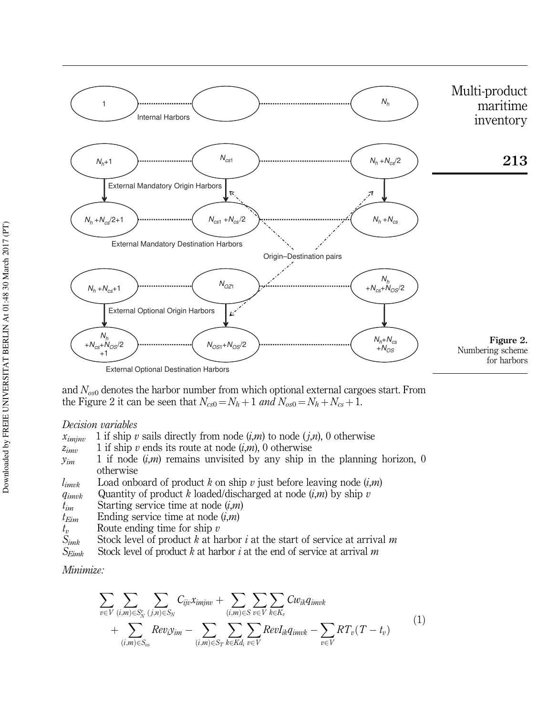

and *Nos*<sup>0</sup> denotes the harbor number from which optional external cargoes start. From the Figure 2 it can be seen that  $N_{cs0} = N_h + 1$  and  $N_{os0} = N_h + N_{cs} + 1$ .

#### *Decision variables*

- $x_{\text{iminv}}$  1 if ship *v* sails directly from node  $(i,m)$  to node  $(j,n)$ , 0 otherwise
- $z_{imv}$  1 if ship *v* ends its route at node  $(i,m)$ , 0 otherwise
- $y_{im}$  1 if node  $(i,m)$  remains unvisited by any ship in the planning horizon, 0 otherwise
- *l* Load onboard of product *k* on ship *v* just before leaving node  $(i,m)$
- $q_{imvk}$  Quantity of product *k* loaded/discharged at node  $(i,m)$  by ship *v*
- *tim* Starting service time at node (*i*,*m*)
- *t<sub>Eim</sub>* Ending service time at node (*i,m*)<br>*t<sub>v</sub>* Route ending time for ship *v*<br>S<sub>imk</sub> Stock level of product *k* at harbor
- *t<sup>v</sup>* Route ending time for ship *v*
- *S*<sub>*imk*</sub> Stock level of product *k* at harbor *i* at the start of service at arrival *m* S*F*<sub>*imk*</sub> Stock level of product *k* at harbor *i* at the end of service at arrival *m*
- *Stock level of product <i>k* at harbor *i* at the end of service at arrival *m*

#### *Minimize:*

$$
\sum_{v \in V} \sum_{(i,m) \in S_N^v} \sum_{(j,n) \in S_N} C_{ijv} x_{imjnv} + \sum_{(i,m) \in S} \sum_{v \in V} \sum_{k \in K_v} C w_{ik} q_{imvk} + \sum_{(i,m) \in S_{os}} Rev_i y_{im} - \sum_{(i,m) \in S_T} \sum_{k \in K d_i} \sum_{v \in V} Rev I_{ik} q_{imvk} - \sum_{v \in V} RT_v (T - t_v)
$$
\n(1)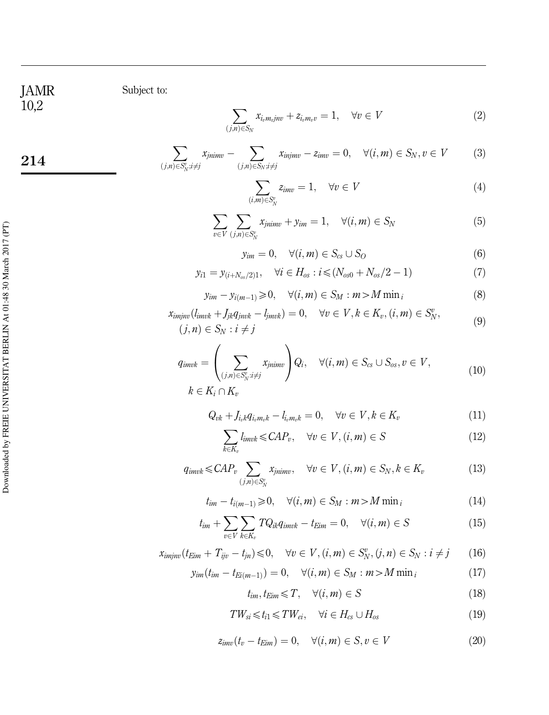JAMR 10,2

214

Subject to:

$$
\sum_{(j,n)\in S_N} x_{i_v m_v jnv} + z_{i_v m_v v} = 1, \quad \forall v \in V
$$
\n(2)

$$
\sum_{(j,n)\in S_N^v, i\neq j} x_{jnlmv} - \sum_{(j,n)\in S_N, i\neq j} x_{injmv} - z_{imv} = 0, \quad \forall (i,m)\in S_N, v\in V \tag{3}
$$

$$
\sum_{(i,m)\in S_N^v} z_{imv} = 1, \quad \forall v \in V \tag{4}
$$

$$
\sum_{v \in V} \sum_{(j,n) \in S_N^v} x_{jnimv} + y_{im} = 1, \quad \forall (i,m) \in S_N
$$
 (5)

$$
y_{im} = 0, \quad \forall (i, m) \in S_{cs} \cup S_O \tag{6}
$$

$$
y_{i1} = y_{(i+N_{os}/2)1}, \quad \forall i \in H_{os} : i \leq (N_{os0} + N_{os}/2 - 1)
$$
 (7)

$$
y_{im} - y_{i(m-1)} \ge 0, \quad \forall (i, m) \in S_M : m > M \min_i
$$
 (8)

$$
x_{\text{imjnw}}(l_{\text{imv}k} + J_{jk}q_{\text{jnw}k} - l_{\text{jmv}k}) = 0, \quad \forall v \in V, k \in K_v, (i, m) \in S_N^v,
$$
  

$$
(j, n) \in S_N : i \neq j
$$
 (9)

$$
q_{imvk} = \left(\sum_{(j,n)\in S_N^v, i\neq j} x_{jnimv}\right) Q_i, \quad \forall (i,m) \in S_{cs} \cup S_{os}, v \in V,
$$
  
\n
$$
k \in K_i \cap K_v
$$
\n(10)

$$
Q_{vk} + J_{i_vk}q_{i_vm_vk} - l_{i_vm_vk} = 0, \quad \forall v \in V, k \in K_v
$$
\n
$$
(11)
$$

$$
\sum_{k \in K_v} l_{imvk} \leq CAP_v, \quad \forall v \in V, (i, m) \in S \tag{12}
$$

$$
q_{imvk} \leq CAP_v \sum_{(j,n)\in S_N^v} x_{jnimv}, \quad \forall v \in V, (i,m) \in S_N, k \in K_v
$$
\n
$$
(13)
$$

$$
t_{im} - t_{i(m-1)} \ge 0, \quad \forall (i, m) \in S_M : m > M \min_i
$$
 (14)

$$
t_{im} + \sum_{v \in V} \sum_{k \in K_v} T Q_{ik} q_{imvk} - t_{Eim} = 0, \quad \forall (i, m) \in S
$$
 (15)

$$
x_{\text{imjnv}}(t_{\text{Eim}} + T_{\text{ijv}} - t_{\text{jn}}) \leq 0, \quad \forall v \in V, (i, m) \in S_N^v, (j, n) \in S_N : i \neq j \tag{16}
$$

$$
y_{im}(t_{im} - t_{Ei(m-1)}) = 0, \quad \forall (i, m) \in S_M : m > M \min_i
$$
 (17)

$$
t_{im}, t_{Ein} \le T, \quad \forall (i, m) \in S \tag{18}
$$

$$
TW_{si} \leq t_{i1} \leq TW_{ei}, \quad \forall i \in H_{cs} \cup H_{os}
$$
\n
$$
(19)
$$

$$
z_{imv}(t_v - t_{Eim}) = 0, \quad \forall (i, m) \in S, v \in V \tag{20}
$$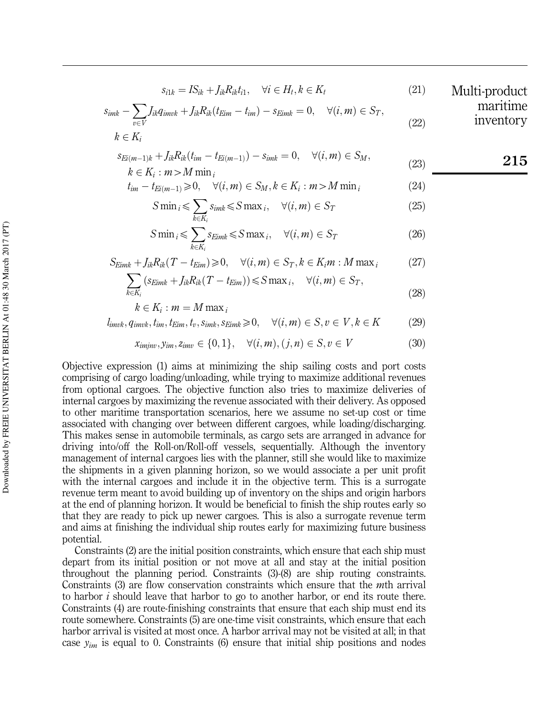$$
s_{i1k} = I S_{ik} + J_{ik} R_{ik} t_{i1}, \quad \forall i \in H_t, k \in K_t
$$
\n
$$
(21) \qquad \text{Multi-product}
$$

 $(22)$ 

 $(23)$ 

215

maritime inventory

$$
s_{imk} - \sum_{v \in V} J_{ik}q_{imvk} + J_{ik}R_{ik}(t_{Eim} - t_{im}) - s_{Eimk} = 0, \quad \forall (i, m) \in S_T,
$$
  

$$
k \in K_i
$$

$$
s_{Ei(m-1)k} + J_{ik}R_{ik}(t_{im} - t_{Ei(m-1)}) - s_{imk} = 0, \quad \forall (i, m) \in S_M,
$$
  

$$
k \in K_i : m > M \min_i
$$

$$
t_{im} - t_{Ei(m-1)} \ge 0, \quad \forall (i, m) \in S_M, k \in K_i : m > M \min_i
$$
 (24)

$$
S\min_{i} \leqslant \sum_{k \in K_{i}} s_{imk} \leqslant S\max_{i}, \quad \forall (i, m) \in S_{T}
$$
\n
$$
(25)
$$

$$
S\min_{i} \leqslant \sum_{k \in K_{i}} s_{Eimk} \leqslant S\max_{i}, \quad \forall (i, m) \in S_{T}
$$
\n
$$
(26)
$$

$$
S_{Eimk} + J_{ik}R_{ik}(T - t_{Eim}) \ge 0, \quad \forall (i, m) \in S_T, k \in K_im : M \max_i
$$
  

$$
\sum (S_{Eimk} + J_{ik}R_{ik}(T - t_{Eim})) \le S \max_i, \quad \forall (i, m) \in S_T,
$$
 (27)

$$
\sum_{k \in K_i} (s_{Eimk} + J_{ik}R_{ik}(T - t_{Eim})) \leq S \max_i, \quad \forall (i, m) \in S_T,
$$
  
\n
$$
k \in K_i : m = M \max_i
$$
\n(28)

$$
l_{imvk}, q_{imvk}, t_{im}, t_{lim}, t_v, s_{imk}, s_{limk} \ge 0, \quad \forall (i, m) \in S, v \in V, k \in K \tag{29}
$$

$$
x_{\text{imp}}^*, y_{\text{im}}, z_{\text{imv}} \in \{0, 1\}, \quad \forall (i, m), (j, n) \in S, v \in V \tag{30}
$$

Objective expression (1) aims at minimizing the ship sailing costs and port costs comprising of cargo loading/unloading, while trying to maximize additional revenues from optional cargoes. The objective function also tries to maximize deliveries of internal cargoes by maximizing the revenue associated with their delivery. As opposed to other maritime transportation scenarios, here we assume no set-up cost or time associated with changing over between different cargoes, while loading/discharging. This makes sense in automobile terminals, as cargo sets are arranged in advance for driving into/off the Roll-on/Roll-off vessels, sequentially. Although the inventory management of internal cargoes lies with the planner, still she would like to maximize the shipments in a given planning horizon, so we would associate a per unit profit with the internal cargoes and include it in the objective term. This is a surrogate revenue term meant to avoid building up of inventory on the ships and origin harbors at the end of planning horizon. It would be beneficial to finish the ship routes early so that they are ready to pick up newer cargoes. This is also a surrogate revenue term and aims at finishing the individual ship routes early for maximizing future business potential.

Constraints (2) are the initial position constraints, which ensure that each ship must depart from its initial position or not move at all and stay at the initial position throughout the planning period. Constraints (3)-(8) are ship routing constraints. Constraints (3) are flow conservation constraints which ensure that the *m*th arrival to harbor *i* should leave that harbor to go to another harbor, or end its route there. Constraints (4) are route-finishing constraints that ensure that each ship must end its route somewhere. Constraints (5) are one-time visit constraints, which ensure that each harbor arrival is visited at most once. A harbor arrival may not be visited at all; in that case  $y_{im}$  is equal to 0. Constraints (6) ensure that initial ship positions and nodes

Downloaded by FREIE UNIVERSITAT BERLIN At 01:48 30 March 2017 (PT) Downloaded by FREIE UNIVERSITAT BERLIN At 01:48 30 March 2017 (PT)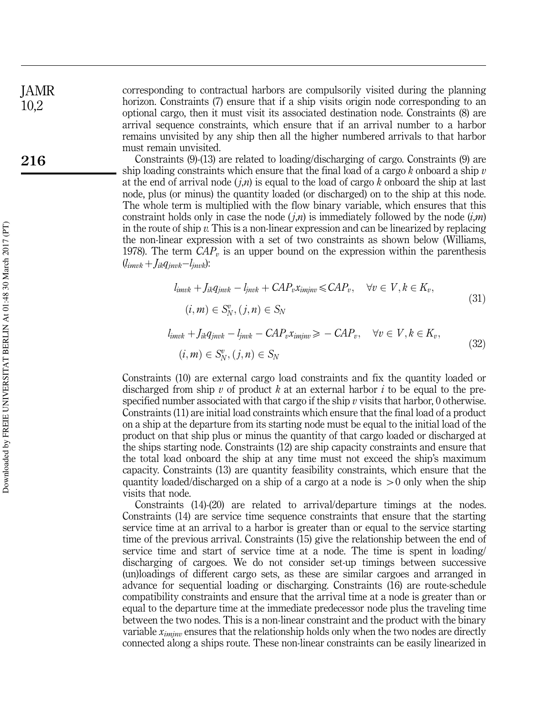corresponding to contractual harbors are compulsorily visited during the planning horizon. Constraints (7) ensure that if a ship visits origin node corresponding to an optional cargo, then it must visit its associated destination node. Constraints (8) are arrival sequence constraints, which ensure that if an arrival number to a harbor remains unvisited by any ship then all the higher numbered arrivals to that harbor must remain unvisited.

Constraints (9)-(13) are related to loading/discharging of cargo. Constraints (9) are ship loading constraints which ensure that the final load of a cargo *k* onboard a ship *v* at the end of arrival node  $(j,n)$  is equal to the load of cargo k onboard the ship at last node, plus (or minus) the quantity loaded (or discharged) on to the ship at this node. The whole term is multiplied with the flow binary variable, which ensures that this constraint holds only in case the node  $(j,n)$  is immediately followed by the node  $(i,m)$ in the route of ship *v*. This is a non-linear expression and can be linearized by replacing the non-linear expression with a set of two constraints as shown below (Williams, 1978). The term *CAP<sup>v</sup>* is an upper bound on the expression within the parenthesis  $(l_{imvk} + J_{ik}q_{jnvk} - l_{jnvk})$ :

$$
l_{imvk} + J_{ik}q_{jnvk} - l_{jnvk} + CAP_vx_{imjnv} \le CAP_v, \quad \forall v \in V, k \in K_v,
$$
  
(i, m)  $\in S_N^v$ , (j, n)  $\in S_N$  (31)

$$
l_{imvk} + J_{ik}q_{jmk} - l_{jmk} - CAP_v x_{imjnv} \ge - CAP_v, \quad \forall v \in V, k \in K_v,
$$
  
(i, m)  $\in S_N^v$ , (j, n)  $\in S_N$  (32)

Constraints (10) are external cargo load constraints and fix the quantity loaded or discharged from ship *v* of product *k* at an external harbor *i* to be equal to the prespecified number associated with that cargo if the ship *v* visits that harbor, 0 otherwise. Constraints (11) are initial load constraints which ensure that the final load of a product on a ship at the departure from its starting node must be equal to the initial load of the product on that ship plus or minus the quantity of that cargo loaded or discharged at the ships starting node. Constraints (12) are ship capacity constraints and ensure that the total load onboard the ship at any time must not exceed the ship's maximum capacity. Constraints (13) are quantity feasibility constraints, which ensure that the quantity loaded/discharged on a ship of a cargo at a node is  $>0$  only when the ship visits that node.

Constraints (14)-(20) are related to arrival/departure timings at the nodes. Constraints (14) are service time sequence constraints that ensure that the starting service time at an arrival to a harbor is greater than or equal to the service starting time of the previous arrival. Constraints (15) give the relationship between the end of service time and start of service time at a node. The time is spent in loading/ discharging of cargoes. We do not consider set-up timings between successive (un)loadings of different cargo sets, as these are similar cargoes and arranged in advance for sequential loading or discharging. Constraints (16) are route-schedule compatibility constraints and ensure that the arrival time at a node is greater than or equal to the departure time at the immediate predecessor node plus the traveling time between the two nodes. This is a non-linear constraint and the product with the binary variable *ximjnv* ensures that the relationship holds only when the two nodes are directly connected along a ships route. These non-linear constraints can be easily linearized in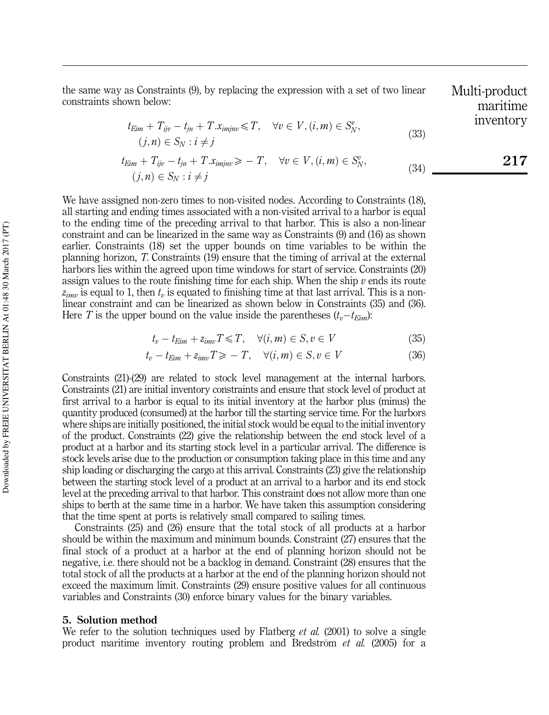the same way as Constraints (9), by replacing the expression with a set of two linear constraints shown below:

maritime inventory

Multi-product

$$
t_{Eim} + T_{ijv} - t_{jn} + T.x_{imjnv} \le T, \quad \forall v \in V, (i, m) \in S_N^v,
$$
  
\n
$$
(j, n) \in S_N : i \ne j
$$
  
\n
$$
t_{Eim} + T_{ijv} - t_{jn} + T.x_{imjnv} \ge -T, \quad \forall v \in V, (i, m) \in S_N^v,
$$
  
\n(33)  
\n(34)  
\n(35)  
\n(36)  
\n(37)  
\n(38)  
\n(39)  
\n(30)  
\n(31)

$$
\lim_{\epsilon \to 0+} \frac{1}{\epsilon} \lim_{y \to 0+} \frac{1}{\epsilon} \lim_{\epsilon \to 0+} \frac{1}{\epsilon} \lim_{y \to 0+} \frac{1}{\epsilon} \frac{1}{\epsilon} \lim_{y \to 0+} \frac{1}{\epsilon} \lim_{y \to 0+} \frac{1}{\epsilon} \lim_{y \to 0+} \frac{1}{\epsilon} \lim_{y \to 0+} \frac{1}{\epsilon} \lim_{y \to 0+} \frac{1}{\epsilon} \lim_{y \to 0+} \frac{1}{\epsilon} \lim_{y \to 0+} \frac{1}{\epsilon} \lim_{y \to 0+} \frac{1}{\epsilon} \lim_{y \to 0+} \frac{1}{\epsilon} \lim_{y \to 0+} \lim_{y \to 0+} \frac{1}{\epsilon} \lim_{y \to 0+} \lim_{y \to 0+} \frac{1}{\epsilon} \lim_{y \to 0+} \lim_{y \to 0+} \lim_{y \to 0+} \lim_{y \to 0+} \lim_{y \to 0+} \lim_{y \to 0+} \lim_{y \to 0+} \lim_{y \to 0+} \lim_{y \to 0+} \lim_{y \to 0+} \lim_{y \to 0+} \lim_{y \to 0+} \lim_{y \to 0+} \lim_{y \to 0+} \lim_{y \to 0+} \lim_{y \to 0+} \lim_{y \to 0+} \lim_{y \to 0+} \lim_{y \to 0+} \lim_{y \to 0+} \lim_{y \to 0+} \lim_{y \to 0+} \lim_{y \to 0+} \lim_{y \to 0+} \lim_{y \to 0+} \lim_{y \to 0+} \lim_{y \to 0+} \lim_{y \to 0+} \lim_{y \to 0+} \lim_{y \to 0+} \lim_{y \to 0+} \lim_{y \to 0+} \lim_{y \to 0+} \lim_{y \to 0+} \lim_{y \to 0+} \lim_{y \to 0+} \lim_{y \to 0+} \lim_{y \to 0+} \lim_{y \to 0+} \lim_{y \to 0+} \lim_{y \to 0+} \lim_{y \to 0+} \lim_{y \to 0+} \lim_{y \to 0+} \lim_{y \to 0+} \lim_{y \to 0+}
$$

We have assigned non-zero times to non-visited nodes. According to Constraints (18), all starting and ending times associated with a non-visited arrival to a harbor is equal to the ending time of the preceding arrival to that harbor. This is also a non-linear constraint and can be linearized in the same way as Constraints (9) and (16) as shown earlier. Constraints (18) set the upper bounds on time variables to be within the planning horizon, *T*. Constraints (19) ensure that the timing of arrival at the external harbors lies within the agreed upon time windows for start of service. Constraints (20) assign values to the route finishing time for each ship. When the ship *v* ends its route  $z_{\mathit{imv}}$  is equal to 1, then  $t_v$  is equated to finishing time at that last arrival. This is a nonlinear constraint and can be linearized as shown below in Constraints (35) and (36). Here *T* is the upper bound on the value inside the parentheses  $(t_v - t_{Eim})$ :

$$
t_v - t_{\text{Eim}} + z_{\text{imv}} T \leq T, \quad \forall (i, m) \in S, v \in V \tag{35}
$$

$$
t_v - t_{\text{Eim}} + z_{\text{imv}} T \geqslant -T, \quad \forall (i, m) \in S, v \in V \tag{36}
$$

Constraints (21)-(29) are related to stock level management at the internal harbors. Constraints (21) are initial inventory constraints and ensure that stock level of product at first arrival to a harbor is equal to its initial inventory at the harbor plus (minus) the quantity produced (consumed) at the harbor till the starting service time. For the harbors where ships are initially positioned, the initial stock would be equal to the initial inventory of the product. Constraints (22) give the relationship between the end stock level of a product at a harbor and its starting stock level in a particular arrival. The difference is stock levels arise due to the production or consumption taking place in this time and any ship loading or discharging the cargo at this arrival. Constraints (23) give the relationship between the starting stock level of a product at an arrival to a harbor and its end stock level at the preceding arrival to that harbor. This constraint does not allow more than one ships to berth at the same time in a harbor. We have taken this assumption considering that the time spent at ports is relatively small compared to sailing times.

Constraints (25) and (26) ensure that the total stock of all products at a harbor should be within the maximum and minimum bounds. Constraint (27) ensures that the final stock of a product at a harbor at the end of planning horizon should not be negative, i.e. there should not be a backlog in demand. Constraint (28) ensures that the total stock of all the products at a harbor at the end of the planning horizon should not exceed the maximum limit. Constraints (29) ensure positive values for all continuous variables and Constraints (30) enforce binary values for the binary variables.

#### 5. Solution method

We refer to the solution techniques used by Flatberg *et al.* (2001) to solve a single product maritime inventory routing problem and Bredström *et al.* (2005) for a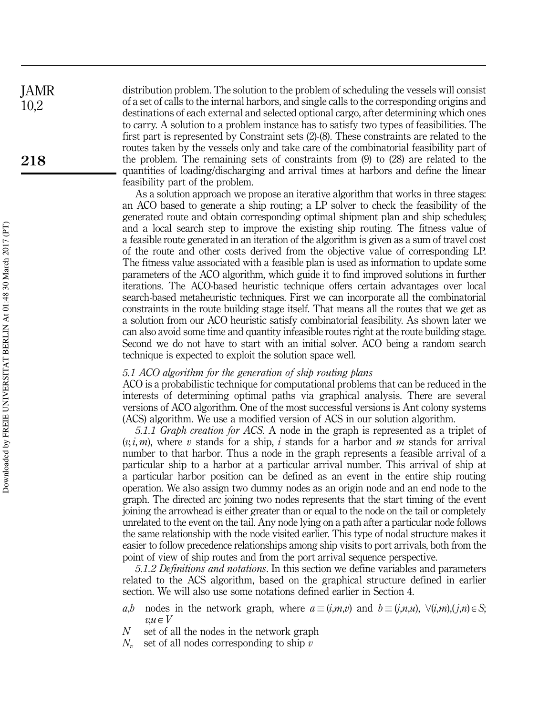distribution problem. The solution to the problem of scheduling the vessels will consist of a set of calls to the internal harbors, and single calls to the corresponding origins and destinations of each external and selected optional cargo, after determining which ones to carry. A solution to a problem instance has to satisfy two types of feasibilities. The first part is represented by Constraint sets (2)-(8). These constraints are related to the routes taken by the vessels only and take care of the combinatorial feasibility part of the problem. The remaining sets of constraints from (9) to (28) are related to the quantities of loading/discharging and arrival times at harbors and define the linear feasibility part of the problem.

As a solution approach we propose an iterative algorithm that works in three stages: an ACO based to generate a ship routing; a LP solver to check the feasibility of the generated route and obtain corresponding optimal shipment plan and ship schedules; and a local search step to improve the existing ship routing. The fitness value of a feasible route generated in an iteration of the algorithm is given as a sum of travel cost of the route and other costs derived from the objective value of corresponding LP. The fitness value associated with a feasible plan is used as information to update some parameters of the ACO algorithm, which guide it to find improved solutions in further iterations. The ACO-based heuristic technique offers certain advantages over local search-based metaheuristic techniques. First we can incorporate all the combinatorial constraints in the route building stage itself. That means all the routes that we get as a solution from our ACO heuristic satisfy combinatorial feasibility. As shown later we can also avoid some time and quantity infeasible routes right at the route building stage. Second we do not have to start with an initial solver. ACO being a random search technique is expected to exploit the solution space well.

#### *5.1 ACO algorithm for the generation of ship routing plans*

ACO is a probabilistic technique for computational problems that can be reduced in the interests of determining optimal paths via graphical analysis. There are several versions of ACO algorithm. One of the most successful versions is Ant colony systems (ACS) algorithm. We use a modified version of ACS in our solution algorithm.

*5.1.1 Graph creation for ACS*. A node in the graph is represented as a triplet of  $(v, i, m)$ , where *v* stands for a ship, *i* stands for a harbor and *m* stands for arrival number to that harbor. Thus a node in the graph represents a feasible arrival of a particular ship to a harbor at a particular arrival number. This arrival of ship at a particular harbor position can be defined as an event in the entire ship routing operation. We also assign two dummy nodes as an origin node and an end node to the graph. The directed arc joining two nodes represents that the start timing of the event joining the arrowhead is either greater than or equal to the node on the tail or completely unrelated to the event on the tail. Any node lying on a path after a particular node follows the same relationship with the node visited earlier. This type of nodal structure makes it easier to follow precedence relationships among ship visits to port arrivals, both from the point of view of ship routes and from the port arrival sequence perspective.

*5.1.2 Definitions and notations*. In this section we define variables and parameters related to the ACS algorithm, based on the graphical structure defined in earlier section. We will also use some notations defined earlier in Section 4.

- *a*,*b* nodes in the network graph, where  $a \equiv (i,m,v)$  and  $b \equiv (j,n,u)$ ,  $\forall (i,m),(j,n) \in S$ ; *,* $*u* \in V$
- *N* set of all the nodes in the network graph
- $N_v$  set of all nodes corresponding to ship *v*

218

JAMR 10,2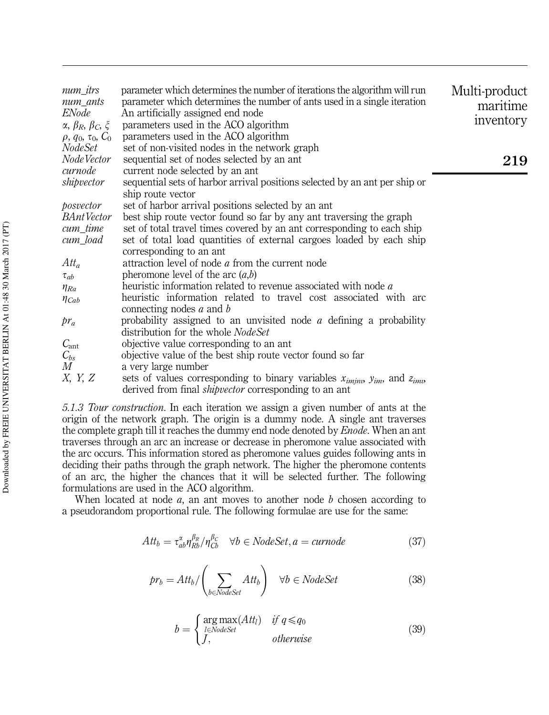| num_itrs<br>num_ants<br>ENode<br>$\alpha$ , $\beta_R$ , $\beta_C$ , $\xi$<br>$\rho, q_0, \tau_0, C_0$ | parameter which determines the number of iterations the algorithm will run<br>parameter which determines the number of ants used in a single iteration<br>An artificially assigned end node<br>parameters used in the ACO algorithm<br>parameters used in the ACO algorithm | Multi-product<br>maritime<br>inventory |
|-------------------------------------------------------------------------------------------------------|-----------------------------------------------------------------------------------------------------------------------------------------------------------------------------------------------------------------------------------------------------------------------------|----------------------------------------|
| <i>NodeSet</i>                                                                                        | set of non-visited nodes in the network graph                                                                                                                                                                                                                               |                                        |
| Node Vector                                                                                           | sequential set of nodes selected by an ant                                                                                                                                                                                                                                  | 219                                    |
| curnode<br>shipvector                                                                                 | current node selected by an ant<br>sequential sets of harbor arrival positions selected by an ant per ship or<br>ship route vector                                                                                                                                          |                                        |
| posvector                                                                                             | set of harbor arrival positions selected by an ant                                                                                                                                                                                                                          |                                        |
| <b>BAntVector</b>                                                                                     | best ship route vector found so far by any ant traversing the graph                                                                                                                                                                                                         |                                        |
| cum_time<br>cum_load                                                                                  | set of total travel times covered by an ant corresponding to each ship<br>set of total load quantities of external cargoes loaded by each ship<br>corresponding to an ant                                                                                                   |                                        |
| $Att_a$                                                                                               | attraction level of node <i>a</i> from the current node                                                                                                                                                                                                                     |                                        |
| $\tau_{ab}$                                                                                           | pheromone level of the arc $(a,b)$                                                                                                                                                                                                                                          |                                        |
| $\eta_{Ra}$                                                                                           | heuristic information related to revenue associated with node a                                                                                                                                                                                                             |                                        |
| $\eta_{Cab}$                                                                                          | heuristic information related to travel cost associated with arc<br>connecting nodes $a$ and $b$                                                                                                                                                                            |                                        |
| $pr_a$                                                                                                | probability assigned to an unvisited node $a$ defining a probability<br>distribution for the whole <i>NodeSet</i>                                                                                                                                                           |                                        |
| $\frac{C_{\textrm{ant}}}{C_{bs}}$                                                                     | objective value corresponding to an ant                                                                                                                                                                                                                                     |                                        |
|                                                                                                       | objective value of the best ship route vector found so far                                                                                                                                                                                                                  |                                        |
| M                                                                                                     | a very large number                                                                                                                                                                                                                                                         |                                        |
| X, Y, Z                                                                                               | sets of values corresponding to binary variables $x_{imjns}$ , $y_{im}$ , and $z_{imns}$<br>derived from final <i>shipvector</i> corresponding to an ant                                                                                                                    |                                        |

*5.1.3 Tour construction*. In each iteration we assign a given number of ants at the origin of the network graph. The origin is a dummy node. A single ant traverses the complete graph till it reaches the dummy end node denoted by *Enode*. When an ant traverses through an arc an increase or decrease in pheromone value associated with the arc occurs. This information stored as pheromone values guides following ants in deciding their paths through the graph network. The higher the pheromone contents of an arc, the higher the chances that it will be selected further. The following formulations are used in the ACO algorithm.

When located at node  $a$ , an ant moves to another node  $b$  chosen according to a pseudorandom proportional rule. The following formulae are use for the same:

$$
Att_b = \tau_{ab}^{\alpha} \eta_{Rb}^{\beta_R} / \eta_{Cb}^{\beta_C} \quad \forall b \in NodeSet, a = cumode \tag{37}
$$

$$
pr_b = Att_b / \left(\sum_{b \in NodeSet} Att_b\right) \quad \forall b \in NodeSet \tag{38}
$$

$$
b = \begin{cases} \underset{l \in \text{NodeSet}}{\arg \max}(Att_l) & \text{if } q \leq q_0\\ J, & \text{otherwise} \end{cases} \tag{39}
$$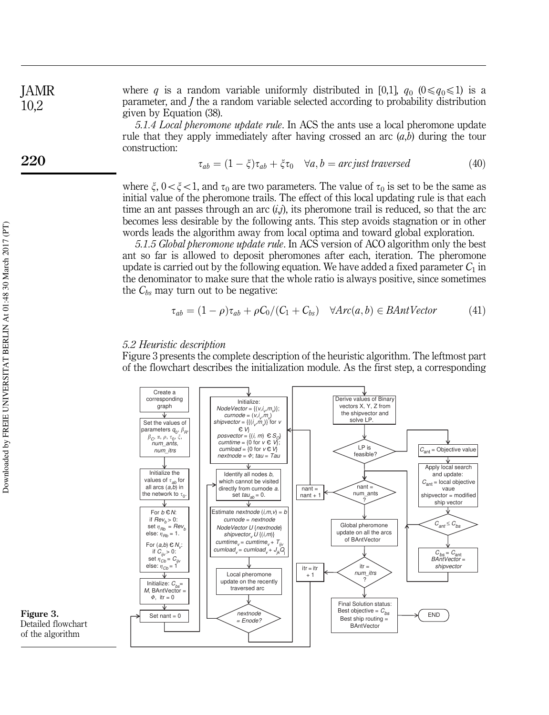where *q* is a random variable uniformly distributed in [0,1],  $q_0$  ( $0 \leq q_0 \leq 1$ ) is a parameter, and *J* the a random variable selected according to probability distribution given by Equation (38).

*5.1.4 Local pheromone update rule*. In ACS the ants use a local pheromone update rule that they apply immediately after having crossed an arc (*a*,*b*) during the tour construction:

$$
\tau_{ab} = (1 - \xi)\tau_{ab} + \xi\tau_0 \quad \forall a, b = \text{arc just traversed} \tag{40}
$$

where  $\xi$ ,  $0 < \xi < 1$ , and  $\tau_0$  are two parameters. The value of  $\tau_0$  is set to be the same as initial value of the pheromone trails. The effect of this local updating rule is that each time an ant passes through an arc  $(i,j)$ , its pheromone trail is reduced, so that the arc becomes less desirable by the following ants. This step avoids stagnation or in other words leads the algorithm away from local optima and toward global exploration.

*5.1.5 Global pheromone update rule*. In ACS version of ACO algorithm only the best ant so far is allowed to deposit pheromones after each, iteration. The pheromone update is carried out by the following equation. We have added a fixed parameter  $C_{\rm 1}$  in the denominator to make sure that the whole ratio is always positive, since sometimes the  $C_{bs}$  may turn out to be negative:

$$
\tau_{ab} = (1 - \rho)\tau_{ab} + \rho C_0/(C_1 + C_{bs}) \quad \forall Arc(a, b) \in BAntVector \tag{41}
$$

#### *5.2 Heuristic description*

Figure 3 presents the complete description of the heuristic algorithm. The leftmost part of the flowchart describes the initialization module. As the first step, a corresponding





JAMR 10,2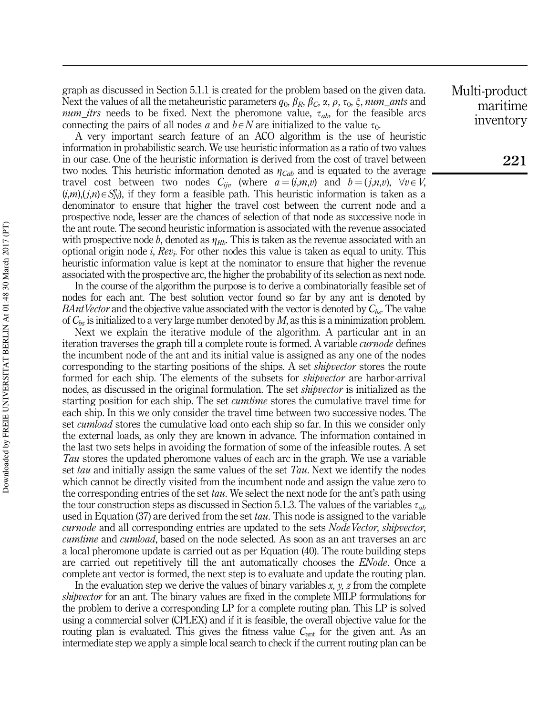graph as discussed in Section 5.1.1 is created for the problem based on the given data. Next the values of all the metaheuristic parameters  $q_0$ ,  $\beta_R$ ,  $\beta_C$ ,  $\alpha$ ,  $\rho$ ,  $\tau_0$ ,  $\xi$ ,  $num\_ants$  and *num\_itrs* needs to be fixed. Next the pheromone value,  $\tau_{ab}$ , for the feasible arcs connecting the pairs of all nodes *a* and  $b \in N$  are initialized to the value  $\tau_0$ .

A very important search feature of an ACO algorithm is the use of heuristic information in probabilistic search. We use heuristic information as a ratio of two values in our case. One of the heuristic information is derived from the cost of travel between two nodes. This heuristic information denoted as  $\eta_{Cab}$  and is equated to the average travel cost between two nodes  $C_{iiv}$  (where  $a = (i,m,v)$  and  $b = (j,n,v)$ ,  $\forall v \in V$ ,  $(i,m),(j,n) \in S_N^v$ , if they form a feasible path. This heuristic information is taken as a denominator to ensure that higher the travel cost between the current node and a prospective node, lesser are the chances of selection of that node as successive node in the ant route. The second heuristic information is associated with the revenue associated with prospective node *b*, denoted as  $\eta_{Rb}$ . This is taken as the revenue associated with an optional origin node *i*, *Rev<sup>i</sup>* . For other nodes this value is taken as equal to unity. This heuristic information value is kept at the nominator to ensure that higher the revenue associated with the prospective arc, the higher the probability of its selection as next node.

In the course of the algorithm the purpose is to derive a combinatorially feasible set of nodes for each ant. The best solution vector found so far by any ant is denoted by *BAntVector* and the objective value associated with the vector is denoted by  $C_{bs}$ . The value of *Cbs* is initialized to a very large number denoted by *M*, as this is a minimization problem.

Next we explain the iterative module of the algorithm. A particular ant in an iteration traverses the graph till a complete route is formed. A variable *curnode* defines the incumbent node of the ant and its initial value is assigned as any one of the nodes corresponding to the starting positions of the ships. A set *shipvector* stores the route formed for each ship. The elements of the subsets for *shipvector* are harbor-arrival nodes, as discussed in the original formulation. The set *shipvector* is initialized as the starting position for each ship. The set *cumtime* stores the cumulative travel time for each ship. In this we only consider the travel time between two successive nodes. The set *cumload* stores the cumulative load onto each ship so far. In this we consider only the external loads, as only they are known in advance. The information contained in the last two sets helps in avoiding the formation of some of the infeasible routes. A set *Tau* stores the updated pheromone values of each arc in the graph. We use a variable set *tau* and initially assign the same values of the set *Tau*. Next we identify the nodes which cannot be directly visited from the incumbent node and assign the value zero to the corresponding entries of the set *tau*. We select the next node for the ant's path using the tour construction steps as discussed in Section 5.1.3. The values of the variables  $\tau_{ab}$ used in Equation (37) are derived from the set *tau*. This node is assigned to the variable *curnode* and all corresponding entries are updated to the sets *NodeVector*, *shipvector*, *cumtime* and *cumload*, based on the node selected. As soon as an ant traverses an arc a local pheromone update is carried out as per Equation (40). The route building steps are carried out repetitively till the ant automatically chooses the *ENode*. Once a complete ant vector is formed, the next step is to evaluate and update the routing plan.

In the evaluation step we derive the values of binary variables *x, y, z* from the complete *shipvector* for an ant. The binary values are fixed in the complete MILP formulations for the problem to derive a corresponding LP for a complete routing plan. This LP is solved using a commercial solver (CPLEX) and if it is feasible, the overall objective value for the routing plan is evaluated. This gives the fitness value C<sub>ant</sub> for the given ant. As an intermediate step we apply a simple local search to check if the current routing plan can be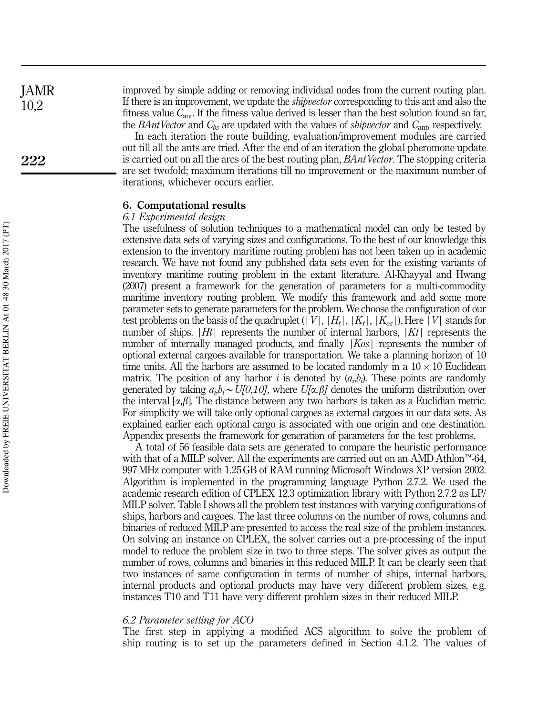improved by simple adding or removing individual nodes from the current routing plan. If there is an improvement, we update the *shipvector* corresponding to this ant and also the fitness value *C*ant. If the fitness value derived is lesser than the best solution found so far, the *BAntVector* and *Cbs* are updated with the values of *shipvector* and *C*ant, respectively.

In each iteration the route building, evaluation/improvement modules are carried out till all the ants are tried. After the end of an iteration the global pheromone update is carried out on all the arcs of the best routing plan, *BAntVector*. The stopping criteria are set twofold; maximum iterations till no improvement or the maximum number of iterations, whichever occurs earlier.

#### 6. Computational results

#### *6.1 Experimental design*

The usefulness of solution techniques to a mathematical model can only be tested by extensive data sets of varying sizes and configurations. To the best of our knowledge this extension to the inventory maritime routing problem has not been taken up in academic research. We have not found any published data sets even for the existing variants of inventory maritime routing problem in the extant literature. Al-Khayyal and Hwang (2007) present a framework for the generation of parameters for a multi-commodity maritime inventory routing problem. We modify this framework and add some more parameter sets to generate parameters for the problem. We choose the configuration of our test problems on the basis of the quadruplet ( $|V|$ ,  $|H_t|$ ,  $|K_t|$ ,  $|K_{os}|$ ). Here  $|V|$  stands for number of ships. |*Ht*| represents the number of internal harbors, |*Kt*| represents the number of internally managed products, and finally |*Kos*| represents the number of optional external cargoes available for transportation. We take a planning horizon of 10 time units. All the harbors are assumed to be located randomly in a  $10 \times 10$  Euclidean matrix. The position of any harbor  $i$  is denoted by  $(a_i, b_i)$ . These points are randomly generated by taking  $a_i b_i \sim U[0,10]$ , where  $U[\alpha, \beta]$  denotes the uniform distribution over the interval  $[\alpha, \beta]$ . The distance between any two harbors is taken as a Euclidian metric. For simplicity we will take only optional cargoes as external cargoes in our data sets. As explained earlier each optional cargo is associated with one origin and one destination. Appendix presents the framework for generation of parameters for the test problems.

A total of 56 feasible data sets are generated to compare the heuristic performance with that of a MILP solver. All the experiments are carried out on an AMD Athlon<sup>1M</sup>-64, 997 MHz computer with 1.25 GB of RAM running Microsoft Windows XP version 2002. Algorithm is implemented in the programming language Python 2.7.2. We used the academic research edition of CPLEX 12.3 optimization library with Python 2.7.2 as LP/ MILP solver. Table I shows all the problem test instances with varying configurations of ships, harbors and cargoes. The last three columns on the number of rows, columns and binaries of reduced MILP are presented to access the real size of the problem instances. On solving an instance on CPLEX, the solver carries out a pre-processing of the input model to reduce the problem size in two to three steps. The solver gives as output the number of rows, columns and binaries in this reduced MILP. It can be clearly seen that two instances of same configuration in terms of number of ships, internal harbors, internal products and optional products may have very different problem sizes, e.g. instances T10 and T11 have very different problem sizes in their reduced MILP.

#### *6.2 Parameter setting for ACO*

The first step in applying a modified ACS algorithm to solve the problem of ship routing is to set up the parameters defined in Section 4.1.2. The values of

222

JAMR 10,2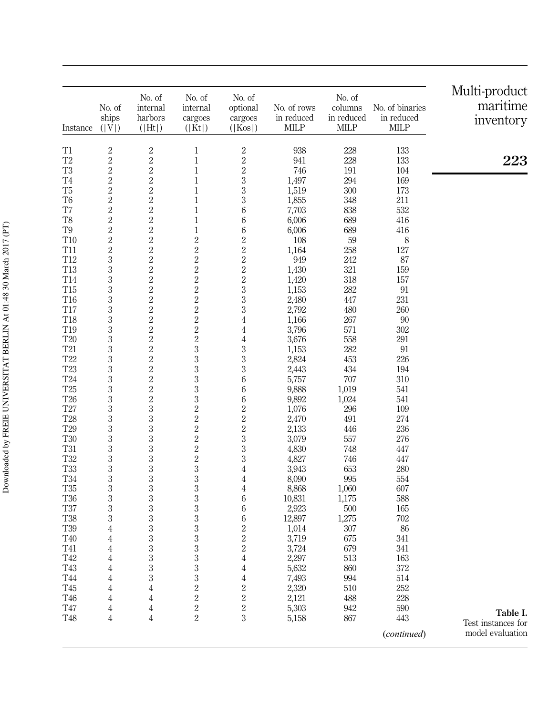| Instance                                           | No. of<br>ships<br>( V )                           | No. of<br>internal<br>harbors<br>( Ht )                   | No. of<br>internal<br>cargoes<br>( Kt )                     | No. of<br>optional<br>cargoes<br>( Kos )           | No. of rows<br>in reduced<br><b>MILP</b> | No. of<br>columns<br>in reduced<br><b>MILP</b> | No. of binaries<br>in reduced<br><b>MILP</b> | Multi-product<br>maritime<br>inventory |
|----------------------------------------------------|----------------------------------------------------|-----------------------------------------------------------|-------------------------------------------------------------|----------------------------------------------------|------------------------------------------|------------------------------------------------|----------------------------------------------|----------------------------------------|
| T1<br>T <sub>2</sub><br>T <sub>3</sub>             | $\overline{c}$<br>$\overline{2}$<br>$\overline{c}$ | $\begin{smallmatrix}2\\2\end{smallmatrix}$<br>$\sqrt{2}$  | $\mathbf{1}$<br>$\mathbf{1}$<br>$\,1$                       | $\overline{c}$<br>$\overline{2}$<br>$\overline{c}$ | 938<br>941<br>746                        | 228<br>228<br>191                              | 133<br>133<br>104                            | 223                                    |
| T <sub>4</sub><br>T <sub>5</sub><br>T <sub>6</sub> | $\overline{c}$<br>$\frac{2}{2}$                    | $\boldsymbol{2}$<br>$\overline{\mathbf{c}}$<br>$\sqrt{2}$ | $\,1$<br>$\,1$<br>$\,1$                                     | 3<br>3<br>3                                        | 1,497<br>1,519<br>1,855                  | 294<br>300<br>348                              | 169<br>173<br>$211\,$                        |                                        |
| T7<br>T <sub>8</sub>                               | $\begin{array}{c} 2 \\ 2 \\ 2 \end{array}$         | $\begin{array}{c} 2 \\ 2 \\ 2 \end{array}$                | $\,1$<br>$\,1$                                              | 6<br>6                                             | 7,703<br>6,006                           | 838<br>689                                     | 532<br>416                                   |                                        |
| T <sub>9</sub><br>T10<br><b>T11</b>                | $\overline{2}$                                     | $\overline{2}$                                            | $\,1$<br>$\overline{2}$<br>$\overline{c}$                   | 6<br>$\overline{2}$<br>$\overline{c}$              | 6,006<br>108<br>1,164                    | 689<br>59<br>258                               | 416<br>8<br>127                              |                                        |
| T12<br>T13                                         | 3<br>3                                             | $\sqrt{2}$<br>$\overline{2}$                              | $\overline{c}$<br>$\overline{2}$                            | $\overline{c}$<br>$\overline{2}$                   | 949<br>1,430                             | 242<br>321                                     | 87<br>159                                    |                                        |
| T14<br>T <sub>15</sub><br>T16                      | $\frac{3}{3}$                                      |                                                           | $\overline{2}$                                              | $\overline{2}$<br>3<br>3                           | 1,420<br>1,153<br>2,480                  | 318<br>282<br>447                              | 157<br>91<br>231                             |                                        |
| T17<br>T18                                         | $\frac{3}{3}$                                      | $2\ 2\ 2\ 2\ 2\ 2$                                        | $\begin{smallmatrix}2\2\2\2\end{smallmatrix}$               | 3<br>$\sqrt{4}$                                    | 2,792<br>1,166                           | 480<br>267                                     | 260<br>90                                    |                                        |
| T19<br>T20<br>T21                                  | 3<br>3<br>3                                        | $\frac{2}{2}$                                             | $\overline{2}$<br>$\overline{2}$<br>3                       | $\overline{4}$<br>$\sqrt{4}$<br>3                  | 3,796<br>3,676<br>1,153                  | 571<br>558<br>282                              | 302<br>291<br>91                             |                                        |
| T <sub>22</sub><br>T <sub>23</sub><br>T24          | 3<br>$\frac{3}{3}$                                 | $\overline{\mathbf{c}}$                                   | $\overline{3}$<br>3<br>$\boldsymbol{3}$                     | 3<br>3<br>6                                        | 2,824<br>2,443<br>5,757                  | 453<br>434<br>707                              | 226<br>194<br>310                            |                                        |
| T <sub>25</sub><br>T <sub>26</sub>                 | 3<br>3                                             | $\begin{array}{c} 2 \\ 2 \\ 2 \\ 3 \end{array}$           | 3<br>3                                                      | 6<br>$\boldsymbol{6}$                              | 9,888<br>9,892                           | 1,019<br>1,024                                 | 541<br>541                                   |                                        |
| <b>T27</b><br><b>T28</b><br>T <sub>29</sub>        | 3<br>$\frac{3}{3}$                                 | 3<br>3                                                    | $\overline{\mathbf{c}}$<br>$\overline{c}$<br>$\overline{2}$ | $\overline{c}$<br>$\frac{2}{2}$                    | 1,076<br>2,470<br>2,133                  | 296<br>491<br>446                              | 109<br>274<br>236                            |                                        |
| T30<br>T31                                         | 3<br>3                                             | 3<br>3                                                    | $\overline{c}$<br>$\overline{c}$                            | 3<br>3                                             | 3,079<br>4,830                           | 557<br>748                                     | 276<br>447                                   |                                        |
| T32<br>T33<br>T34                                  | 3<br>$\frac{3}{3}$                                 | $\overline{3}$<br>3<br>3                                  | $\overline{2}$<br>3<br>3                                    | 3<br>$\sqrt{4}$<br>4                               | 4,827<br>3,943<br>8,090                  | 746<br>653<br>995                              | 447<br>280<br>554                            |                                        |
| T35<br>T36<br><b>T37</b>                           | $\frac{3}{3}$                                      | $\frac{3}{3}$                                             | 3<br>$\frac{3}{3}$                                          | $\sqrt{4}$<br>6<br>6                               | 8,868<br>10,831<br>2,923                 | 1,060<br>1,175<br>500                          | 607<br>588<br>165                            |                                        |
| <b>T38</b><br>T39                                  | 3<br>$\overline{4}$                                | 3<br>3                                                    | 3<br>3                                                      | $\boldsymbol{6}$<br>$\overline{2}$                 | 12,897<br>1,014                          | 1,275<br>307                                   | 702<br>86                                    |                                        |
| T40<br>T41<br>T42                                  | 4<br>4<br>4                                        | 3<br>3<br>3                                               | 3<br>3<br>3                                                 | $\overline{2}$<br>2<br>$\sqrt{4}$                  | 3,719<br>3,724<br>2,297                  | 675<br>679<br>513                              | 341<br>341<br>163                            |                                        |
| T43<br>T44                                         | $\overline{4}$<br>4                                | 3<br>$\boldsymbol{3}$                                     | 3<br>3                                                      | $\overline{4}$<br>$\overline{4}$                   | 5,632<br>7,493                           | 860<br>994                                     | 372<br>514                                   |                                        |
| T45<br>T46<br>T47                                  | 4<br>4<br>4                                        | 4<br>4<br>4                                               | $\frac{2}{2}$<br>$\boldsymbol{2}$                           | $\overline{c}$<br>$\overline{2}$<br>$\overline{c}$ | 2,320<br>2,121<br>5,303                  | 510<br>488<br>942                              | 252<br>228<br>590                            | Table I.                               |
| T48                                                | 4                                                  | $\overline{4}$                                            | $\overline{2}$                                              | 3                                                  | 5,158                                    | 867                                            | 443<br>(continued)                           | Test instances for<br>model evaluation |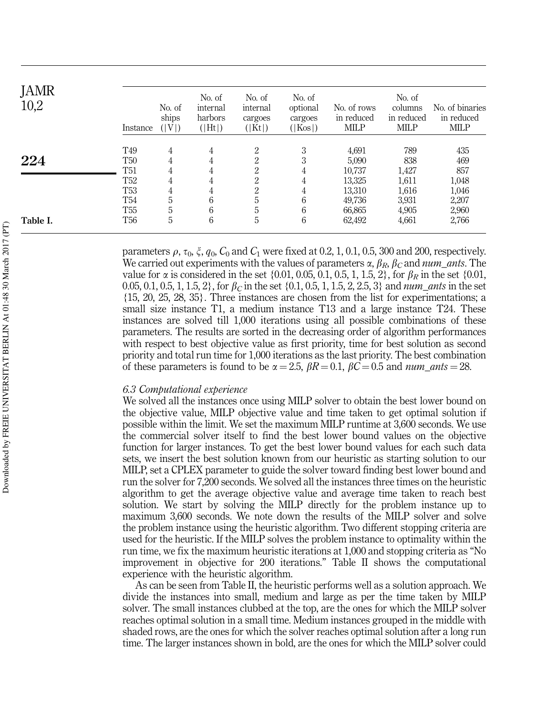| <b>JAMR</b><br>10,2 | Instance        | No. of<br>ships<br>( V ) | No. of<br>internal<br>harbors<br>( Ht ) | No. of<br>internal<br>cargoes<br>$( \mathrm{Kt} )$ | No. of<br>optional<br>cargoes<br>( Kos ) | No. of rows<br>in reduced<br><b>MILP</b> | No. of<br>columns<br>in reduced<br><b>MILP</b> | No. of binaries<br>in reduced<br><b>MILP</b> |
|---------------------|-----------------|--------------------------|-----------------------------------------|----------------------------------------------------|------------------------------------------|------------------------------------------|------------------------------------------------|----------------------------------------------|
| 224                 | T <sub>49</sub> | 4                        | 4                                       | 2                                                  | 3                                        | 4,691                                    | 789                                            | 435                                          |
|                     | <b>T50</b>      | 4                        | 4                                       | 2                                                  | 3                                        | 5,090                                    | 838                                            | 469                                          |
|                     | <b>T51</b>      | 4                        | 4                                       | $\overline{2}$                                     | 4                                        | 10,737                                   | 1,427                                          | 857                                          |
|                     | T <sub>52</sub> | 4                        | 4                                       | $\overline{2}$                                     | 4                                        | 13,325                                   | 1,611                                          | 1,048                                        |
|                     | <b>T53</b>      | 4                        | 4                                       | $\overline{2}$                                     | 4                                        | 13,310                                   | 1,616                                          | 1,046                                        |
|                     | T <sub>54</sub> | 5                        | 6                                       | 5                                                  | 6                                        | 49,736                                   | 3,931                                          | 2,207                                        |
| Table I.            | <b>T55</b>      | 5                        | 6                                       | 5                                                  | 6                                        | 66,865                                   | 4,905                                          | 2,960                                        |
|                     | <b>T56</b>      | 5                        | 6                                       | 5                                                  | 6                                        | 62,492                                   | 4,661                                          | 2,766                                        |

parameters  $\rho$ ,  $\tau_0$ ,  $\xi$ ,  $q_0$ ,  $C_0$  and  $C_1$  were fixed at 0.2, 1, 0.1, 0.5, 300 and 200, respectively. We carried out experiments with the values of parameters  $\alpha$ ,  $\beta_R$ ,  $\beta_C$  and *num\_ants*. The value for  $\alpha$  is considered in the set {0.01, 0.05, 0.1, 0.5, 1, 1.5, 2}, for  $\beta_R$  in the set {0.01, 0.05, 0.1, 0.5, 1, 1.5, 2}, for  $\beta_C$  in the set {0.1, 0.5, 1, 1.5, 2, 2.5, 3} and *num\_ants* in the set {15, 20, 25, 28, 35}. Three instances are chosen from the list for experimentations; a small size instance T1, a medium instance T13 and a large instance T24. These instances are solved till 1,000 iterations using all possible combinations of these parameters. The results are sorted in the decreasing order of algorithm performances with respect to best objective value as first priority, time for best solution as second priority and total run time for 1,000 iterations as the last priority. The best combination of these parameters is found to be  $\alpha = 2.5$ ,  $\beta R = 0.1$ ,  $\beta C = 0.5$  and  $num\_ants = 28$ .

#### *6.3 Computational experience*

We solved all the instances once using MILP solver to obtain the best lower bound on the objective value, MILP objective value and time taken to get optimal solution if possible within the limit. We set the maximum MILP runtime at 3,600 seconds. We use the commercial solver itself to find the best lower bound values on the objective function for larger instances. To get the best lower bound values for each such data sets, we insert the best solution known from our heuristic as starting solution to our MILP, set a CPLEX parameter to guide the solver toward finding best lower bound and run the solver for 7,200 seconds. We solved all the instances three times on the heuristic algorithm to get the average objective value and average time taken to reach best solution. We start by solving the MILP directly for the problem instance up to maximum 3,600 seconds. We note down the results of the MILP solver and solve the problem instance using the heuristic algorithm. Two different stopping criteria are used for the heuristic. If the MILP solves the problem instance to optimality within the run time, we fix the maximum heuristic iterations at 1,000 and stopping criteria as "No improvement in objective for 200 iterations." Table II shows the computational experience with the heuristic algorithm.

As can be seen from Table II, the heuristic performs well as a solution approach. We divide the instances into small, medium and large as per the time taken by MILP solver. The small instances clubbed at the top, are the ones for which the MILP solver reaches optimal solution in a small time. Medium instances grouped in the middle with shaded rows, are the ones for which the solver reaches optimal solution after a long run time. The larger instances shown in bold, are the ones for which the MILP solver could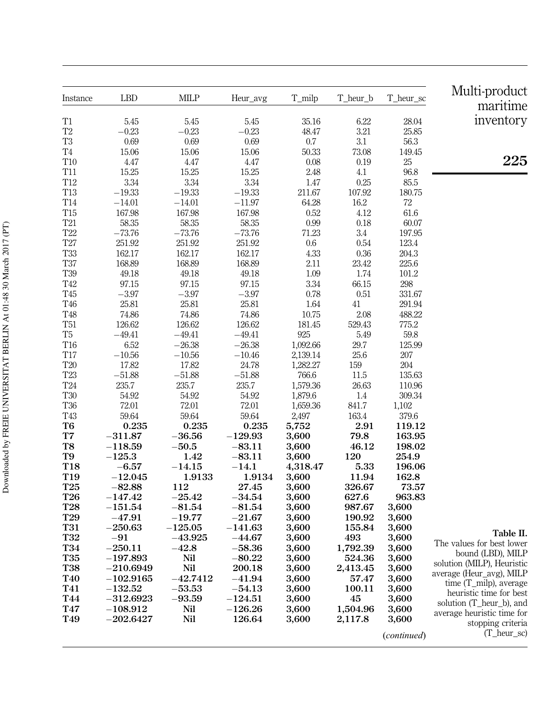| T <sub>1</sub><br>5.45<br>6.22<br>5.45<br>5.45<br>35.16<br>$\operatorname{T2}$<br>$-0.23$<br>$-0.23$<br>$-0.23$<br>3.21<br>48.47<br>$3.1\,$<br>T <sub>3</sub><br>0.69<br>0.69<br>0.69<br>$0.7\,$<br>15.06<br>15.06<br>15.06<br>50.33<br>73.08<br>T <sub>4</sub><br>T <sub>10</sub><br>4.47<br>4.47<br>0.08<br>0.19<br>4.47<br>15.25<br>15.25<br>T11<br>15.25<br>2.48<br>4.1<br>T12<br>3.34<br>3.34<br>3.34<br>0.25<br>1.47<br>T <sub>13</sub><br>$-19.33$<br>$-19.33$<br>$-19.33$<br>211.67<br>107.92 | maritime<br>inventory<br>28.04<br>25.85<br>56.3<br>149.45 |
|-------------------------------------------------------------------------------------------------------------------------------------------------------------------------------------------------------------------------------------------------------------------------------------------------------------------------------------------------------------------------------------------------------------------------------------------------------------------------------------------------------|-----------------------------------------------------------|
|                                                                                                                                                                                                                                                                                                                                                                                                                                                                                                       |                                                           |
|                                                                                                                                                                                                                                                                                                                                                                                                                                                                                                       |                                                           |
|                                                                                                                                                                                                                                                                                                                                                                                                                                                                                                       |                                                           |
|                                                                                                                                                                                                                                                                                                                                                                                                                                                                                                       |                                                           |
|                                                                                                                                                                                                                                                                                                                                                                                                                                                                                                       |                                                           |
|                                                                                                                                                                                                                                                                                                                                                                                                                                                                                                       | 225<br>$25\,$                                             |
|                                                                                                                                                                                                                                                                                                                                                                                                                                                                                                       | 96.8                                                      |
|                                                                                                                                                                                                                                                                                                                                                                                                                                                                                                       | 85.5                                                      |
|                                                                                                                                                                                                                                                                                                                                                                                                                                                                                                       | 180.75                                                    |
| T14<br>$-14.01$<br>$-14.01$<br>$-11.97$<br>64.28<br>16.2                                                                                                                                                                                                                                                                                                                                                                                                                                              | 72                                                        |
| T15<br>167.98<br>167.98<br>167.98<br>0.52<br>4.12                                                                                                                                                                                                                                                                                                                                                                                                                                                     | 61.6                                                      |
| T21<br>58.35<br>$0.99\,$<br>58.35<br>58.35<br>0.18                                                                                                                                                                                                                                                                                                                                                                                                                                                    | 60.07                                                     |
| <b>T22</b><br>$-73.76$<br>$-73.76$<br>$-73.76$<br>71.23<br>3.4                                                                                                                                                                                                                                                                                                                                                                                                                                        | 197.95                                                    |
| T <sub>27</sub><br>251.92<br>251.92<br>251.92<br>$0.6\,$<br>0.54                                                                                                                                                                                                                                                                                                                                                                                                                                      | 123.4                                                     |
| T33<br>$0.36\,$<br>162.17<br>162.17<br>162.17<br>4.33                                                                                                                                                                                                                                                                                                                                                                                                                                                 | 204.3                                                     |
| <b>T37</b><br>168.89<br>168.89<br>168.89<br>2.11<br>23.42                                                                                                                                                                                                                                                                                                                                                                                                                                             | 225.6                                                     |
| T39<br>$1.09\,$<br>1.74<br>49.18<br>49.18<br>49.18                                                                                                                                                                                                                                                                                                                                                                                                                                                    | 101.2                                                     |
| T42<br>97.15<br>97.15<br>97.15<br>3.34<br>66.15                                                                                                                                                                                                                                                                                                                                                                                                                                                       | 298                                                       |
| T45<br>$-3.97$<br>$-3.97$<br>$-3.97$<br>0.78<br>$0.51\,$                                                                                                                                                                                                                                                                                                                                                                                                                                              | 331.67                                                    |
| T46<br>25.81<br>25.81<br>25.81<br>1.64<br>41                                                                                                                                                                                                                                                                                                                                                                                                                                                          | 291.94                                                    |
| 74.86<br>T48<br>74.86<br>74.86<br>10.75<br>2.08                                                                                                                                                                                                                                                                                                                                                                                                                                                       | 488.22                                                    |
| <b>T51</b><br>126.62<br>126.62<br>126.62<br>181.45<br>529.43                                                                                                                                                                                                                                                                                                                                                                                                                                          | 775.2                                                     |
| $-49.41$<br>$-49.41$<br>$-49.41$<br>925<br>5.49<br>T <sub>5</sub>                                                                                                                                                                                                                                                                                                                                                                                                                                     | 59.8                                                      |
| $-26.38$<br>29.7<br>T <sub>16</sub><br>6.52<br>$-26.38$<br>1,092.66                                                                                                                                                                                                                                                                                                                                                                                                                                   | 125.99                                                    |
| T17<br>$-10.56$<br>$-10.56$<br>$-10.46$<br>25.6<br>2,139.14                                                                                                                                                                                                                                                                                                                                                                                                                                           | 207                                                       |
| 17.82<br>17.82<br>24.78<br>159<br>T <sub>20</sub><br>1,282.27                                                                                                                                                                                                                                                                                                                                                                                                                                         | 204                                                       |
| T <sub>23</sub><br>$-51.88$<br>$-51.88$<br>$-51.88$<br>766.6<br>11.5                                                                                                                                                                                                                                                                                                                                                                                                                                  | 135.63                                                    |
| T24<br>235.7<br>235.7<br>235.7<br>26.63<br>1,579.36                                                                                                                                                                                                                                                                                                                                                                                                                                                   | 110.96                                                    |
| T30<br>54.92<br>54.92<br>54.92<br>1,879.6<br>1.4                                                                                                                                                                                                                                                                                                                                                                                                                                                      | 309.34                                                    |
| T36<br>72.01<br>$72.01\,$<br>72.01<br>841.7<br>1,659.36                                                                                                                                                                                                                                                                                                                                                                                                                                               | 1,102                                                     |
| 163.4<br>T43<br>59.64<br>59.64<br>59.64<br>2,497                                                                                                                                                                                                                                                                                                                                                                                                                                                      | 379.6                                                     |
| 0.235<br>2.91<br>T6<br>0.235<br>0.235<br>5,752                                                                                                                                                                                                                                                                                                                                                                                                                                                        | 119.12                                                    |
| T7<br>$-36.56$<br>$-129.93$<br>79.8<br>$-311.87$<br>3,600                                                                                                                                                                                                                                                                                                                                                                                                                                             | 163.95                                                    |
| T <sub>8</sub><br>$-118.59$<br>$-50.5$<br>$-83.11$<br>3,600<br>46.12                                                                                                                                                                                                                                                                                                                                                                                                                                  | 198.02                                                    |
| T <sub>9</sub><br>$-125.3$<br>1.42<br>$-83.11$<br>3,600<br>120                                                                                                                                                                                                                                                                                                                                                                                                                                        | 254.9                                                     |
| 5.33<br>T <sub>18</sub><br>$-14.15$<br>$-14.1$<br>4,318.47<br>$-6.57$                                                                                                                                                                                                                                                                                                                                                                                                                                 | 196.06                                                    |
| T <sub>19</sub><br>1.9133<br>1.9134<br>3,600<br>11.94<br>$-12.045$                                                                                                                                                                                                                                                                                                                                                                                                                                    | 162.8                                                     |
| T <sub>25</sub><br>326.67<br>$-82.88$<br>112<br>27.45<br>3,600                                                                                                                                                                                                                                                                                                                                                                                                                                        | 73.57                                                     |
| <b>T26</b><br>$-25.42$<br>$-34.54$<br>3,600<br>627.6<br>$-147.42$                                                                                                                                                                                                                                                                                                                                                                                                                                     | 963.83                                                    |
| <b>T28</b><br>$-151.54$<br>$-81.54$<br>$-81.54$<br>3,600<br>987.67                                                                                                                                                                                                                                                                                                                                                                                                                                    | 3,600                                                     |
| <b>T29</b><br>$-47.91$<br>$-19.77$<br>$-21.67$<br>3,600<br>190.92                                                                                                                                                                                                                                                                                                                                                                                                                                     | 3,600                                                     |
| <b>T31</b><br>$-250.63$<br>$-125.05$<br>$-141.63$<br>3,600<br>155.84                                                                                                                                                                                                                                                                                                                                                                                                                                  | 3,600                                                     |
| T32<br>3,600<br>493<br>$-91$<br>$-43.925$<br>$-44.67$                                                                                                                                                                                                                                                                                                                                                                                                                                                 | Table II.<br>3,600                                        |
| T34<br>$-42.8$<br>3,600<br>$-250.11$<br>$-58.36$<br>1,792.39                                                                                                                                                                                                                                                                                                                                                                                                                                          | The values for best lower<br>3,600                        |
| <b>T35</b><br><b>Nil</b><br>$-80.22$<br>3,600<br>524.36<br>$-197.893$                                                                                                                                                                                                                                                                                                                                                                                                                                 | bound (LBD), MILP<br>3,600                                |
| <b>T38</b><br>Nil<br>200.18<br>3,600<br>$-210.6949$<br>2,413.45                                                                                                                                                                                                                                                                                                                                                                                                                                       | solution (MILP), Heuristic<br>3,600                       |
| <b>T40</b><br>$-102.9165$<br>$-42.7412$<br>$-41.94$<br>3,600<br>57.47                                                                                                                                                                                                                                                                                                                                                                                                                                 | average (Heur_avg), MILP<br>3,600                         |
| T41<br>3,600<br>100.11<br>$-132.52$<br>$-53.53$<br>$-54.13$                                                                                                                                                                                                                                                                                                                                                                                                                                           | time $(T_{\text{milp}})$ , average<br>3,600               |
| T44<br>3,600<br>$-312.6923$<br>$-93.59$<br>$-124.51$<br>45                                                                                                                                                                                                                                                                                                                                                                                                                                            | heuristic time for best<br>3,600                          |
| T47<br>$-108.912$<br>Nil<br>$-126.26$<br>3,600<br>1,504.96                                                                                                                                                                                                                                                                                                                                                                                                                                            | solution (T_heur_b), and<br>3,600                         |
| T49<br><b>Nil</b><br>$-202.6427$<br>126.64<br>3,600<br>2,117.8                                                                                                                                                                                                                                                                                                                                                                                                                                        | average heuristic time for<br>3,600                       |
|                                                                                                                                                                                                                                                                                                                                                                                                                                                                                                       | stopping criteria                                         |
|                                                                                                                                                                                                                                                                                                                                                                                                                                                                                                       | $(T_\text{heur\_sc})$<br>(continued)                      |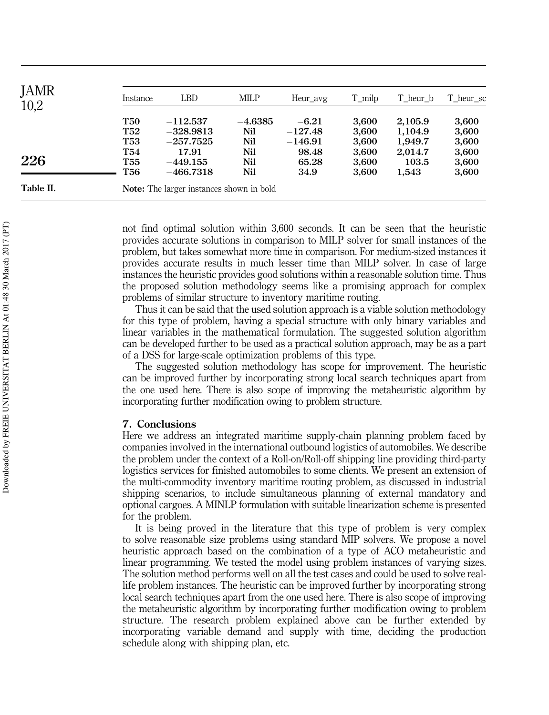| JAMR<br>10,2 | Instance   | <b>LBD</b>                                      | MILP      | Heur_avg  | T milp | T heur b | T heur sc |
|--------------|------------|-------------------------------------------------|-----------|-----------|--------|----------|-----------|
|              | <b>T50</b> | $-112.537$                                      | $-4.6385$ | $-6.21$   | 3,600  | 2,105.9  | 3,600     |
|              | <b>T52</b> | $-328.9813$                                     | Nil       | $-127.48$ | 3,600  | 1,104.9  | 3,600     |
|              | <b>T53</b> | $-257.7525$                                     | Ni1       | $-146.91$ | 3,600  | 1,949.7  | 3,600     |
|              | <b>T54</b> | 17.91                                           | Nil       | 98.48     | 3,600  | 2,014.7  | 3,600     |
| 226          | <b>T55</b> | $-449.155$                                      | Nil       | 65.28     | 3,600  | 103.5    | 3,600     |
|              | <b>T56</b> | $-466.7318$                                     | Nil       | 34.9      | 3,600  | 1,543    | 3,600     |
| Table II.    |            | <b>Note:</b> The larger instances shown in bold |           |           |        |          |           |

not find optimal solution within 3,600 seconds. It can be seen that the heuristic provides accurate solutions in comparison to MILP solver for small instances of the problem, but takes somewhat more time in comparison. For medium-sized instances it provides accurate results in much lesser time than MILP solver. In case of large instances the heuristic provides good solutions within a reasonable solution time. Thus the proposed solution methodology seems like a promising approach for complex problems of similar structure to inventory maritime routing.

Thus it can be said that the used solution approach is a viable solution methodology for this type of problem, having a special structure with only binary variables and linear variables in the mathematical formulation. The suggested solution algorithm can be developed further to be used as a practical solution approach, may be as a part of a DSS for large-scale optimization problems of this type.

The suggested solution methodology has scope for improvement. The heuristic can be improved further by incorporating strong local search techniques apart from the one used here. There is also scope of improving the metaheuristic algorithm by incorporating further modification owing to problem structure.

#### 7. Conclusions

Here we address an integrated maritime supply-chain planning problem faced by companies involved in the international outbound logistics of automobiles. We describe the problem under the context of a Roll-on/Roll-off shipping line providing third-party logistics services for finished automobiles to some clients. We present an extension of the multi-commodity inventory maritime routing problem, as discussed in industrial shipping scenarios, to include simultaneous planning of external mandatory and optional cargoes. A MINLP formulation with suitable linearization scheme is presented for the problem.

It is being proved in the literature that this type of problem is very complex to solve reasonable size problems using standard MIP solvers. We propose a novel heuristic approach based on the combination of a type of ACO metaheuristic and linear programming. We tested the model using problem instances of varying sizes. The solution method performs well on all the test cases and could be used to solve reallife problem instances. The heuristic can be improved further by incorporating strong local search techniques apart from the one used here. There is also scope of improving the metaheuristic algorithm by incorporating further modification owing to problem structure. The research problem explained above can be further extended by incorporating variable demand and supply with time, deciding the production schedule along with shipping plan, etc.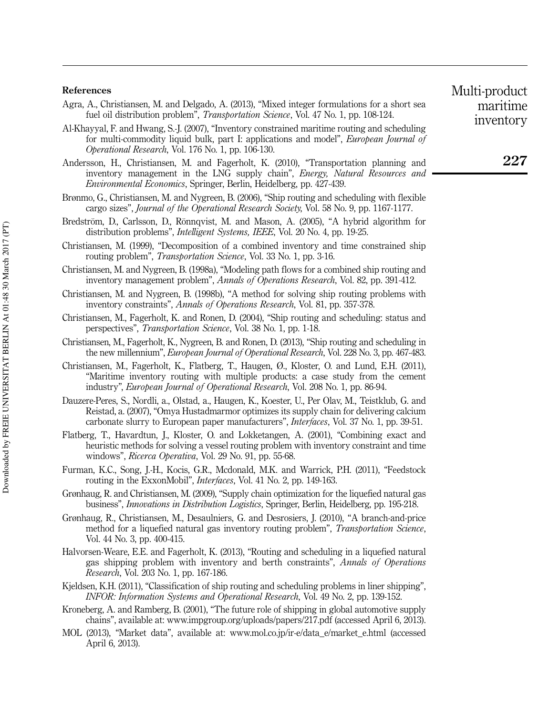#### References

- Agra, A., Christiansen, M. and Delgado, A. (2013), "Mixed integer formulations for a short sea fuel oil distribution problem", *Transportation Science*, Vol. 47 No. 1, pp. 108-124.
- Al-Khayyal, F. and Hwang, S.-J. (2007), "Inventory constrained maritime routing and scheduling for multi-commodity liquid bulk, part I: applications and model", *European Journal of Operational Research*, Vol. 176 No. 1, pp. 106-130.
- Andersson, H., Christiansen, M. and Fagerholt, K. (2010), "Transportation planning and inventory management in the LNG supply chain", *Energy, Natural Resources and Environmental Economics*, Springer, Berlin, Heidelberg, pp. 427-439.
- Brønmo, G., Christiansen, M. and Nygreen, B. (2006), "Ship routing and scheduling with flexible cargo sizes", *Journal of the Operational Research Society*, Vol. 58 No. 9, pp. 1167-1177.
- Bredström, D., Carlsson, D., Rönnqvist, M. and Mason, A. (2005), "A hybrid algorithm for distribution problems", *Intelligent Systems, IEEE*, Vol. 20 No. 4, pp. 19-25.
- Christiansen, M. (1999), "Decomposition of a combined inventory and time constrained ship routing problem", *Transportation Science*, Vol. 33 No. 1, pp. 3-16.
- Christiansen, M. and Nygreen, B. (1998a), "Modeling path flows for a combined ship routing and inventory management problem", *Annals of Operations Research*, Vol. 82, pp. 391-412.
- Christiansen, M. and Nygreen, B. (1998b), "A method for solving ship routing problems with inventory constraints", *Annals of Operations Research*, Vol. 81, pp. 357-378.
- Christiansen, M., Fagerholt, K. and Ronen, D. (2004), "Ship routing and scheduling: status and perspectives", *Transportation Science*, Vol. 38 No. 1, pp. 1-18.
- Christiansen, M., Fagerholt, K., Nygreen, B. and Ronen, D. (2013), "Ship routing and scheduling in the new millennium", *European Journal of Operational Research*, Vol. 228 No. 3, pp. 467-483.
- Christiansen, M., Fagerholt, K., Flatberg, T., Haugen, Ø., Kloster, O. and Lund, E.H. (2011), "Maritime inventory routing with multiple products: a case study from the cement industry", *European Journal of Operational Research*, Vol. 208 No. 1, pp. 86-94.
- Dauzere-Peres, S., Nordli, a., Olstad, a., Haugen, K., Koester, U., Per Olav, M., Teistklub, G. and Reistad, a. (2007), "Omya Hustadmarmor optimizes its supply chain for delivering calcium carbonate slurry to European paper manufacturers", *Interfaces*, Vol. 37 No. 1, pp. 39-51.
- Flatberg, T., Havardtun, J., Kloster, O. and Lokketangen, A. (2001), "Combining exact and heuristic methods for solving a vessel routing problem with inventory constraint and time windows", *Ricerca Operativa*, Vol. 29 No. 91, pp. 55-68.
- Furman, K.C., Song, J.-H., Kocis, G.R., Mcdonald, M.K. and Warrick, P.H. (2011), "Feedstock routing in the ExxonMobil", *Interfaces*, Vol. 41 No. 2, pp. 149-163.
- Grønhaug, R. and Christiansen, M. (2009), "Supply chain optimization for the liquefied natural gas business", *Innovations in Distribution Logistics*, Springer, Berlin, Heidelberg, pp. 195-218.
- Grønhaug, R., Christiansen, M., Desaulniers, G. and Desrosiers, J. (2010), "A branch-and-price method for a liquefied natural gas inventory routing problem", *Transportation Science*, Vol. 44 No. 3, pp. 400-415.
- Halvorsen-Weare, E.E. and Fagerholt, K. (2013), "Routing and scheduling in a liquefied natural gas shipping problem with inventory and berth constraints", *Annals of Operations Research*, Vol. 203 No. 1, pp. 167-186.
- Kjeldsen, K.H. (2011), "Classification of ship routing and scheduling problems in liner shipping", *INFOR: Information Systems and Operational Research*, Vol. 49 No. 2, pp. 139-152.
- Kroneberg, A. and Ramberg, B. (2001), "The future role of shipping in global automotive supply chains", available at: www.impgroup.org/uploads/papers/217.pdf (accessed April 6, 2013).
- MOL (2013), "Market data", available at: www.mol.co.jp/ir-e/data\_e/market\_e.html (accessed April 6, 2013).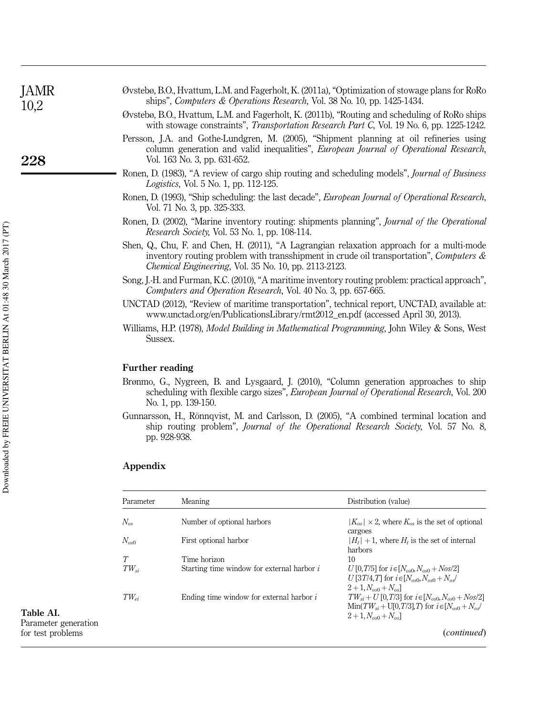| <b>JAMR</b><br>10,2 | Øvstebø, B.O., Hvattum, L.M. and Fagerholt, K. (2011a), "Optimization of stowage plans for RoRo<br>ships", Computers & Operations Research, Vol. 38 No. 10, pp. 1425-1434.                                                                         |  |  |  |  |  |
|---------------------|----------------------------------------------------------------------------------------------------------------------------------------------------------------------------------------------------------------------------------------------------|--|--|--|--|--|
|                     | Øvstebø, B.O., Hvattum, L.M. and Fagerholt, K. (2011b), "Routing and scheduling of RoRo ships<br>with stowage constraints", <i>Transportation Research Part C</i> , Vol. 19 No. 6, pp. 1225-1242.                                                  |  |  |  |  |  |
| 228                 | Persson, J.A. and Gothe-Lundgren, M. (2005), "Shipment planning at oil refineries using<br>column generation and valid inequalities", European Journal of Operational Research,<br>Vol. 163 No. 3, pp. 631-652.                                    |  |  |  |  |  |
|                     | Ronen, D. (1983), "A review of cargo ship routing and scheduling models", <i>Journal of Business</i><br><i>Logistics</i> , Vol. 5 No. 1, pp. 112-125.                                                                                              |  |  |  |  |  |
|                     | Ronen, D. (1993), "Ship scheduling: the last decade", <i>European Journal of Operational Research</i> ,<br>Vol. 71 No. 3, pp. 325-333.                                                                                                             |  |  |  |  |  |
|                     | Ronen, D. (2002), "Marine inventory routing: shipments planning", <i>Journal of the Operational</i><br><i>Research Society, Vol.</i> 53 No. 1, pp. 108-114.                                                                                        |  |  |  |  |  |
|                     | Shen, Q., Chu, F. and Chen, H. (2011), "A Lagrangian relaxation approach for a multi-mode<br>inventory routing problem with transshipment in crude oil transportation", Computers &<br><i>Chemical Engineering, Vol. 35 No. 10, pp. 2113-2123.</i> |  |  |  |  |  |
|                     | Song, J.-H. and Furman, K.C. (2010), "A maritime inventory routing problem: practical approach",<br>Computers and Operation Research, Vol. 40 No. 3, pp. 657-665.                                                                                  |  |  |  |  |  |
|                     | UNCTAD (2012), "Review of maritime transportation", technical report, UNCTAD, available at:<br>www.unctad.org/en/PublicationsLibrary/rmt2012 en.pdf (accessed April 30, 2013).                                                                     |  |  |  |  |  |
|                     | Williams, H.P. (1978), Model Building in Mathematical Programming, John Wiley & Sons, West<br>Sussex.                                                                                                                                              |  |  |  |  |  |
|                     | <b>Further reading</b>                                                                                                                                                                                                                             |  |  |  |  |  |
|                     | Brønmo, G., Nygreen, B. and Lysgaard, J. (2010), "Column generation approaches to ship<br>scheduling with flexible cargo sizes", European Journal of Operational Research, Vol. 200<br>No. 1, pp. 139-150.                                         |  |  |  |  |  |
|                     | Gunnarsson, H., Rönnqvist, M. and Carlsson, D. (2005), "A combined terminal location and<br>ship routing problem", <i>Journal of the Operational Research Society</i> , Vol. 57 No. 8,<br>pp. 928-938.                                             |  |  |  |  |  |
|                     |                                                                                                                                                                                                                                                    |  |  |  |  |  |

### Appendix

| Parameter          | Meaning                                    | Distribution (value)                                                                                                                                                                                        |
|--------------------|--------------------------------------------|-------------------------------------------------------------------------------------------------------------------------------------------------------------------------------------------------------------|
| $N_{\alpha}$       | Number of optional harbors                 | $ K_{\alpha s}  \times 2$ , where $K_{\alpha s}$ is the set of optional                                                                                                                                     |
| $N_{\alpha\alpha}$ | First optional harbor                      | cargoes<br>$ H_t  + 1$ , where $H_t$ is the set of internal<br>harbors                                                                                                                                      |
| $\tau$             | Time horizon                               | 10                                                                                                                                                                                                          |
| $TW_{ci}$          | Starting time window for external harbor i | U [0,7/5] for $i \in [N_{\infty 0}, N_{\infty 0} + N \infty 2]$<br>U [37/4.7] for $i \in [N_{\infty 0}, N_{\infty 0} + N_{\infty}]$<br>$2+1, N_{\infty 0}+N_{\infty}$                                       |
| $TW_{\alpha}$      | Ending time window for external harbor $i$ | $TW_{ci} + U[0, T/3]$ for $i \in [N_{o0}, N_{o0} + Nos/2]$<br>$\text{Min}(TW_{\text{si}} + \text{U}[0,T/3],T)$ for $i \in [N_{\text{osc}} + N_{\text{osc}}]$<br>$2+1$ , $N_{\alpha\alpha}+N_{\alpha\alpha}$ |
|                    |                                            | (continued)                                                                                                                                                                                                 |

Table AI.

Parameter generation for test problems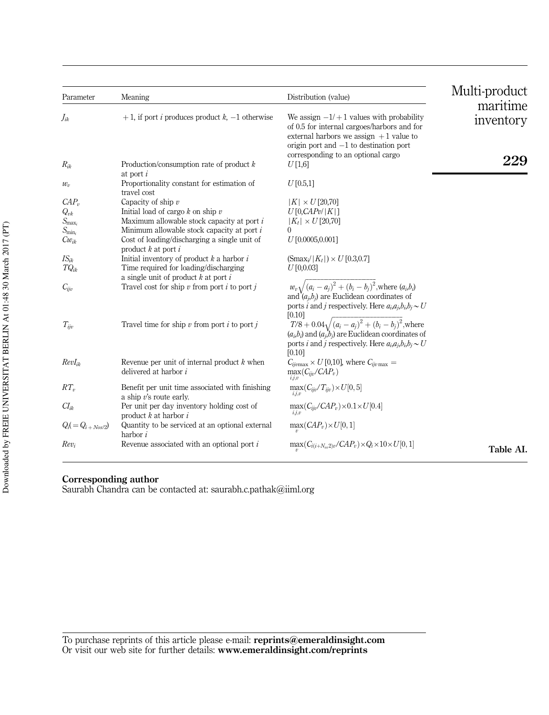| Parameter             | Meaning                                                                       | Distribution (value)                                                                                                                                                                                                     | Multi-product         |
|-----------------------|-------------------------------------------------------------------------------|--------------------------------------------------------------------------------------------------------------------------------------------------------------------------------------------------------------------------|-----------------------|
| $J_{ik}$              | $+1$ , if port <i>i</i> produces product <i>k</i> , $-1$ otherwise            | We assign $-1/1$ values with probability<br>of 0.5 for internal cargoes/harbors and for<br>external harbors we assign $+1$ value to<br>origin port and $-1$ to destination port                                          | maritime<br>inventory |
| $R_{ik}$              | Production/consumption rate of product $k$<br>at port $i$                     | corresponding to an optional cargo<br>U[1,6]                                                                                                                                                                             | 229                   |
| $w_v$                 | Proportionality constant for estimation of<br>travel cost                     | U[0.5,1]                                                                                                                                                                                                                 |                       |
| CAP <sub>n</sub>      | Capacity of ship $v$                                                          | $ K  \times U$ [20,70]                                                                                                                                                                                                   |                       |
| $Q_{vk}$              | Initial load of cargo $k$ on ship $v$                                         | $U$ [0,CAPv/ K ]                                                                                                                                                                                                         |                       |
| $S_{\max}$            | Maximum allowable stock capacity at port $i$                                  | $ K_t  \times U$ [20,70]                                                                                                                                                                                                 |                       |
| $S_{\min_i}$          | Minimum allowable stock capacity at port i                                    | $\mathbf{0}$                                                                                                                                                                                                             |                       |
| $Cw_{ik}$             | Cost of loading/discharging a single unit of<br>product $k$ at port $i$       | $U$ [0.0005,0.001]                                                                                                                                                                                                       |                       |
| $IS_{ib}$             | Initial inventory of product $k$ a harbor $i$                                 | $(Smax_i/ K_i ) \times U$ [0.3,0.7]                                                                                                                                                                                      |                       |
| $TQ_{ik}$             | Time required for loading/discharging                                         | U[0,0.03]                                                                                                                                                                                                                |                       |
|                       | a single unit of product $k$ at port $i$                                      |                                                                                                                                                                                                                          |                       |
| $C_{iiv}$             | Travel cost for ship $v$ from port $i$ to port $j$                            | $w_v\sqrt{(a_i-a_j)^2+(b_i-b_j)^2}$ , where $(a_i,b_i)$<br>and $(a_j, b_j)$ are Euclidean coordinates of<br>ports <i>i</i> and <i>j</i> respectively. Here $a_i, a_j, b_i, b_j \sim U$                                   |                       |
| $T_{ijv}$             | Travel time for ship $v$ from port $i$ to port $j$                            | [0.10]<br>$T/8 + 0.04\sqrt{(a_i - a_j)^2 + (b_i - b_j)^2}$ , where<br>$(a_i, b_i)$ and $(a_i, b_i)$ are Euclidean coordinates of<br>ports <i>i</i> and <i>j</i> respectively. Here $a_i, a_j, b_i, b_j \sim U$<br>[0.10] |                       |
| $RevI_{ik}$           | Revenue per unit of internal product $k$ when<br>delivered at harbor $i$      | $C_{ijv\text{max}} \times U$ [0,10], where $C_{ijv\text{max}} =$<br>$\max_{i,j,v}(C_{ijv}/CAP_v)$                                                                                                                        |                       |
| $RT_{n}$              | Benefit per unit time associated with finishing<br>a ship $v$ 's route early. | $\max_{i,j,v} (C_{ijv}/T_{ijv}) \times U[0,5]$                                                                                                                                                                           |                       |
| $Cl_{ik}$             | Per unit per day inventory holding cost of<br>product $k$ at harbor $i$       | $\max_{i,j,v}(C_{ijv}/CAP_v)\times 0.1\times U[0.4]$                                                                                                                                                                     |                       |
| $Q_i = Q_{i + Nos/2}$ | Quantity to be serviced at an optional external<br>harbor $i$                 | $max(CAP_v) \times U[0,1]$                                                                                                                                                                                               |                       |
| $Rev_i$               | Revenue associated with an optional port $i$                                  | $\max_{u}(C_{i(i+N_{os}2)v}/CAP_v)\times Q_i\times 10\times U[0,1]$                                                                                                                                                      | Table AI.             |

#### Corresponding author

Saurabh Chandra can be contacted at: saurabh.c.pathak@iiml.org

To purchase reprints of this article please e-mail: reprints@emeraldinsight.com Or visit our web site for further details: www.emeraldinsight.com/reprints